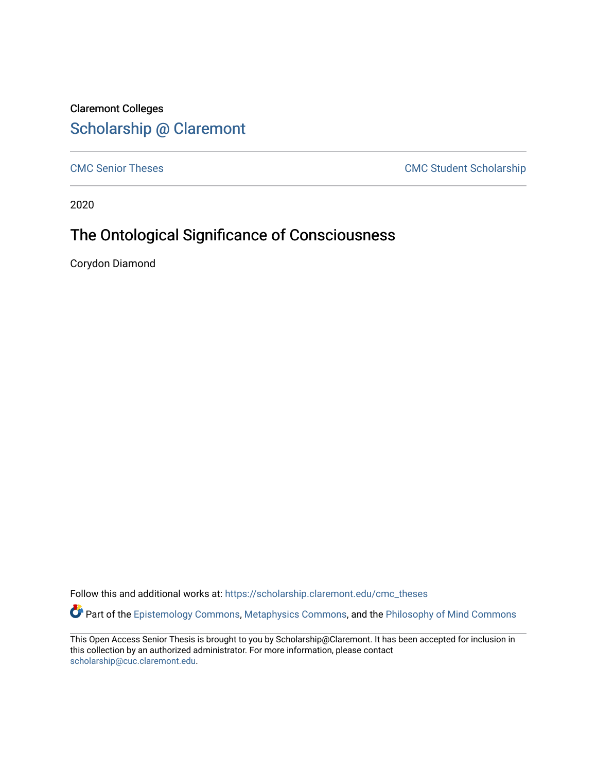# Claremont Colleges [Scholarship @ Claremont](https://scholarship.claremont.edu/)

[CMC Senior Theses](https://scholarship.claremont.edu/cmc_theses) CMC Student Scholarship

2020

# The Ontological Significance of Consciousness

Corydon Diamond

Follow this and additional works at: [https://scholarship.claremont.edu/cmc\\_theses](https://scholarship.claremont.edu/cmc_theses?utm_source=scholarship.claremont.edu%2Fcmc_theses%2F2302&utm_medium=PDF&utm_campaign=PDFCoverPages) 

Part of the [Epistemology Commons](http://network.bepress.com/hgg/discipline/527?utm_source=scholarship.claremont.edu%2Fcmc_theses%2F2302&utm_medium=PDF&utm_campaign=PDFCoverPages), [Metaphysics Commons,](http://network.bepress.com/hgg/discipline/533?utm_source=scholarship.claremont.edu%2Fcmc_theses%2F2302&utm_medium=PDF&utm_campaign=PDFCoverPages) and the Philosophy of Mind Commons

This Open Access Senior Thesis is brought to you by Scholarship@Claremont. It has been accepted for inclusion in this collection by an authorized administrator. For more information, please contact [scholarship@cuc.claremont.edu.](mailto:scholarship@cuc.claremont.edu)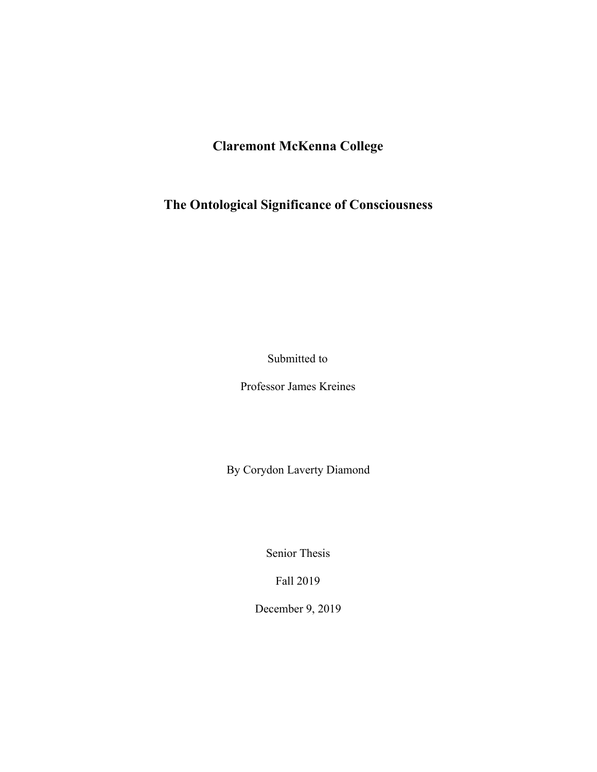# **Claremont McKenna College**

<span id="page-1-0"></span>**The Ontological Significance of Consciousness**

Submitted to

Professor James Kreines

By Corydon Laverty Diamond

Senior Thesis

Fall 2019

December 9, 2019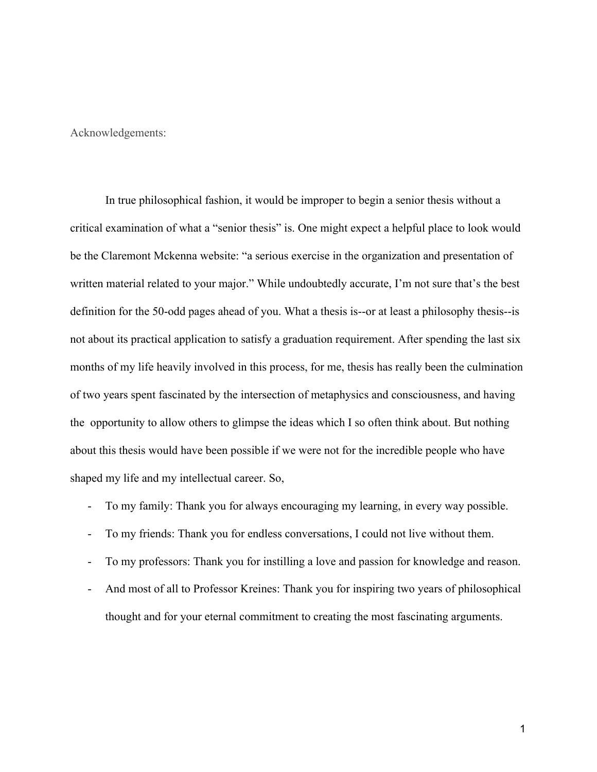<span id="page-2-0"></span>Acknowledgements:

In true philosophical fashion, it would be improper to begin a senior thesis without a critical examination of what a "senior thesis" is. One might expect a helpful place to look would be the Claremont Mckenna website: "a serious exercise in the organization and presentation of written material related to your major." While undoubtedly accurate, I'm not sure that's the best definition for the 50-odd pages ahead of you. What a thesis is--or at least a philosophy thesis--is not about its practical application to satisfy a graduation requirement. After spending the last six months of my life heavily involved in this process, for me, thesis has really been the culmination of two years spent fascinated by the intersection of metaphysics and consciousness, and having the opportunity to allow others to glimpse the ideas which I so often think about. But nothing about this thesis would have been possible if we were not for the incredible people who have shaped my life and my intellectual career. So,

- To my family: Thank you for always encouraging my learning, in every way possible.
- To my friends: Thank you for endless conversations, I could not live without them.
- To my professors: Thank you for instilling a love and passion for knowledge and reason.
- And most of all to Professor Kreines: Thank you for inspiring two years of philosophical thought and for your eternal commitment to creating the most fascinating arguments.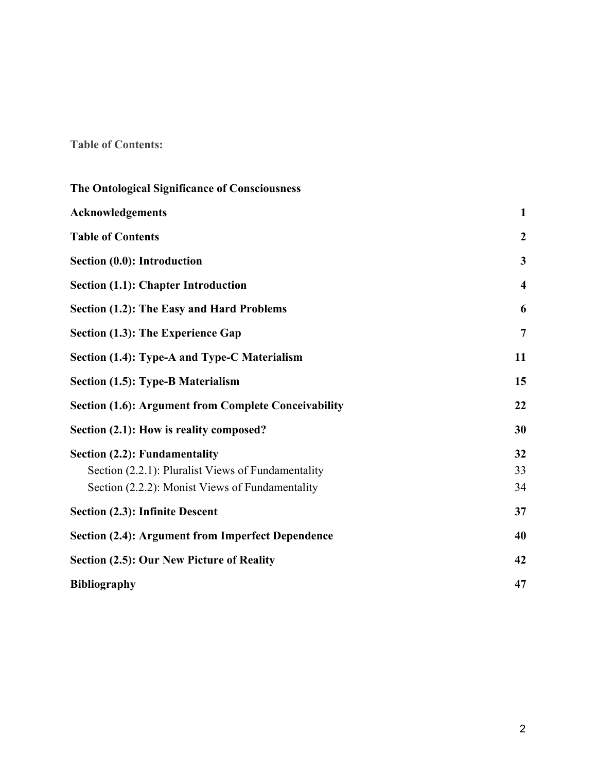# <span id="page-3-0"></span>**Table of Contents:**

| The Ontological Significance of Consciousness               |                         |
|-------------------------------------------------------------|-------------------------|
| Acknowledgements                                            | $\mathbf{1}$            |
| <b>Table of Contents</b>                                    | $\boldsymbol{2}$        |
| Section (0.0): Introduction                                 | $\mathbf{3}$            |
| <b>Section (1.1): Chapter Introduction</b>                  | $\overline{\mathbf{4}}$ |
| Section (1.2): The Easy and Hard Problems                   | 6                       |
| Section (1.3): The Experience Gap                           | $\overline{7}$          |
| Section (1.4): Type-A and Type-C Materialism                | 11                      |
| <b>Section (1.5): Type-B Materialism</b>                    | 15                      |
| <b>Section (1.6): Argument from Complete Conceivability</b> | 22                      |
| Section (2.1): How is reality composed?                     | 30                      |
| <b>Section (2.2): Fundamentality</b>                        | 32                      |
| Section (2.2.1): Pluralist Views of Fundamentality          | 33                      |
| Section (2.2.2): Monist Views of Fundamentality             | 34                      |
| Section (2.3): Infinite Descent                             | 37                      |
| Section (2.4): Argument from Imperfect Dependence           | 40                      |
| <b>Section (2.5): Our New Picture of Reality</b>            | 42                      |
| <b>Bibliography</b>                                         | 47                      |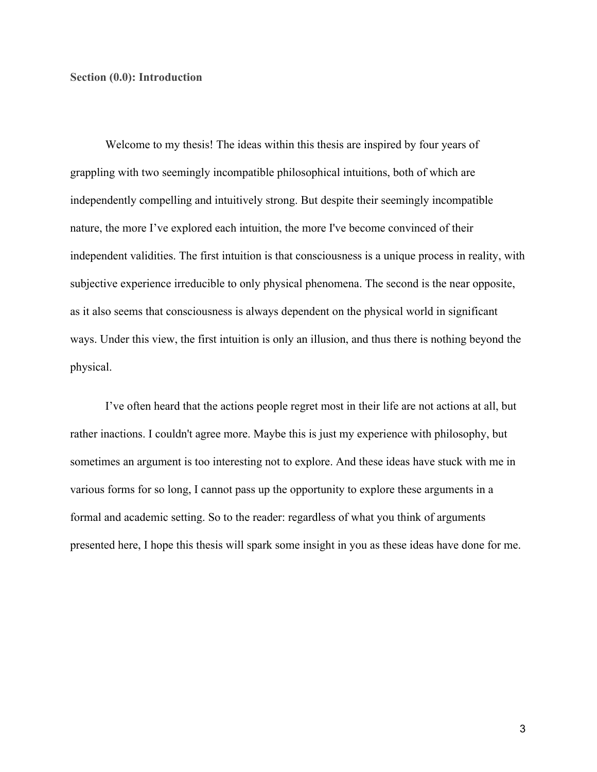### <span id="page-4-0"></span>**Section (0.0): Introduction**

Welcome to my thesis! The ideas within this thesis are inspired by four years of grappling with two seemingly incompatible philosophical intuitions, both of which are independently compelling and intuitively strong. But despite their seemingly incompatible nature, the more I've explored each intuition, the more I've become convinced of their independent validities. The first intuition is that consciousness is a unique process in reality, with subjective experience irreducible to only physical phenomena. The second is the near opposite, as it also seems that consciousness is always dependent on the physical world in significant ways. Under this view, the first intuition is only an illusion, and thus there is nothing beyond the physical.

I've often heard that the actions people regret most in their life are not actions at all, but rather inactions. I couldn't agree more. Maybe this is just my experience with philosophy, but sometimes an argument is too interesting not to explore. And these ideas have stuck with me in various forms for so long, I cannot pass up the opportunity to explore these arguments in a formal and academic setting. So to the reader: regardless of what you think of arguments presented here, I hope this thesis will spark some insight in you as these ideas have done for me.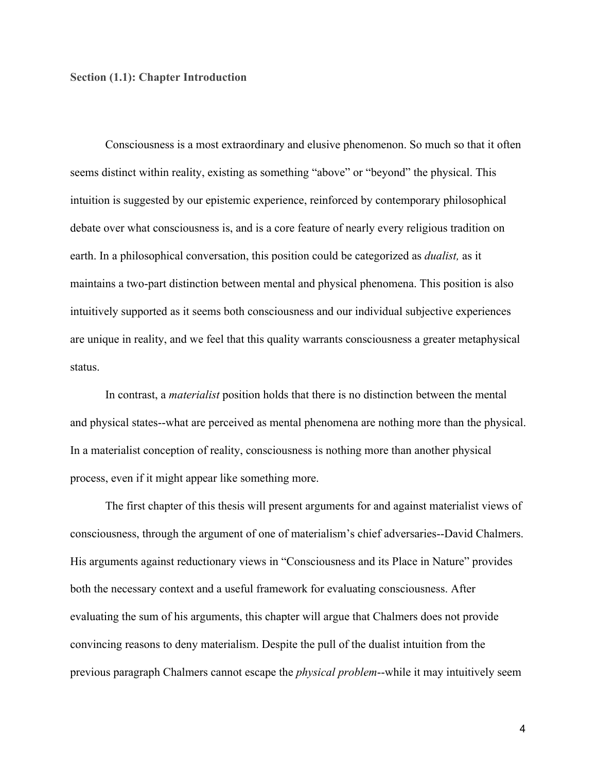### <span id="page-5-0"></span>**Section (1.1): Chapter Introduction**

Consciousness is a most extraordinary and elusive phenomenon. So much so that it often seems distinct within reality, existing as something "above" or "beyond" the physical. This intuition is suggested by our epistemic experience, reinforced by contemporary philosophical debate over what consciousness is, and is a core feature of nearly every religious tradition on earth. In a philosophical conversation, this position could be categorized as *dualist,* as it maintains a two-part distinction between mental and physical phenomena. This position is also intuitively supported as it seems both consciousness and our individual subjective experiences are unique in reality, and we feel that this quality warrants consciousness a greater metaphysical status.

In contrast, a *materialist* position holds that there is no distinction between the mental and physical states--what are perceived as mental phenomena are nothing more than the physical. In a materialist conception of reality, consciousness is nothing more than another physical process, even if it might appear like something more.

The first chapter of this thesis will present arguments for and against materialist views of consciousness, through the argument of one of materialism's chief adversaries--David Chalmers. His arguments against reductionary views in "Consciousness and its Place in Nature" provides both the necessary context and a useful framework for evaluating consciousness. After evaluating the sum of his arguments, this chapter will argue that Chalmers does not provide convincing reasons to deny materialism. Despite the pull of the dualist intuition from the previous paragraph Chalmers cannot escape the *physical problem*--while it may intuitively seem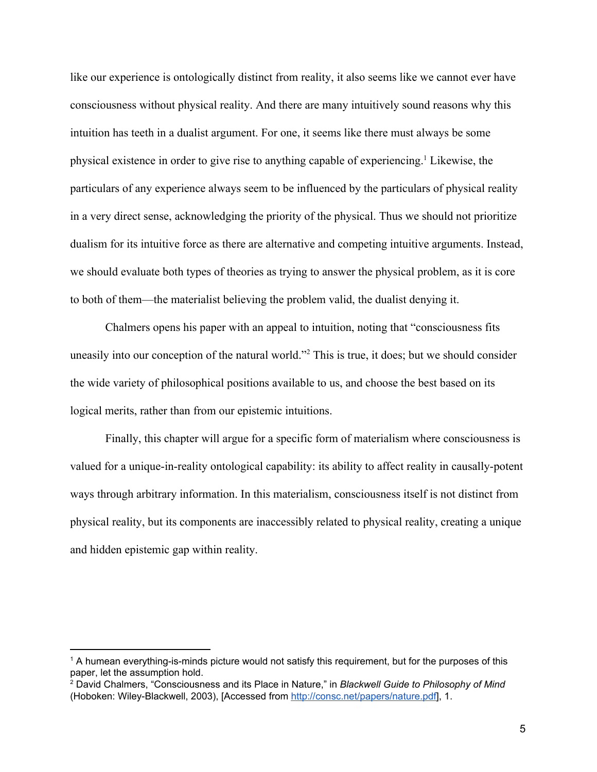like our experience is ontologically distinct from reality, it also seems like we cannot ever have consciousness without physical reality. And there are many intuitively sound reasons why this intuition has teeth in a dualist argument. For one, it seems like there must always be some physical existence in order to give rise to anything capable of experiencing.<sup>1</sup> Likewise, the particulars of any experience always seem to be influenced by the particulars of physical reality in a very direct sense, acknowledging the priority of the physical. Thus we should not prioritize dualism for its intuitive force as there are alternative and competing intuitive arguments. Instead, we should evaluate both types of theories as trying to answer the physical problem, as it is core to both of them—the materialist believing the problem valid, the dualist denying it.

Chalmers opens his paper with an appeal to intuition, noting that "consciousness fits uneasily into our conception of the natural world."<sup>2</sup> This is true, it does; but we should consider the wide variety of philosophical positions available to us, and choose the best based on its logical merits, rather than from our epistemic intuitions.

Finally, this chapter will argue for a specific form of materialism where consciousness is valued for a unique-in-reality ontological capability: its ability to affect reality in causally-potent ways through arbitrary information. In this materialism, consciousness itself is not distinct from physical reality, but its components are inaccessibly related to physical reality, creating a unique and hidden epistemic gap within reality.

 $1$  A humean everything-is-minds picture would not satisfy this requirement, but for the purposes of this paper, let the assumption hold.

<sup>2</sup> David Chalmers, "Consciousness and its Place in Nature," in *Blackwell Guide to Philosophy of Mind* (Hoboken: Wiley-Blackwell, 2003), [Accessed from [http://consc.net/papers/nature.pdf\]](http://consc.net/papers/nature.pdf), 1.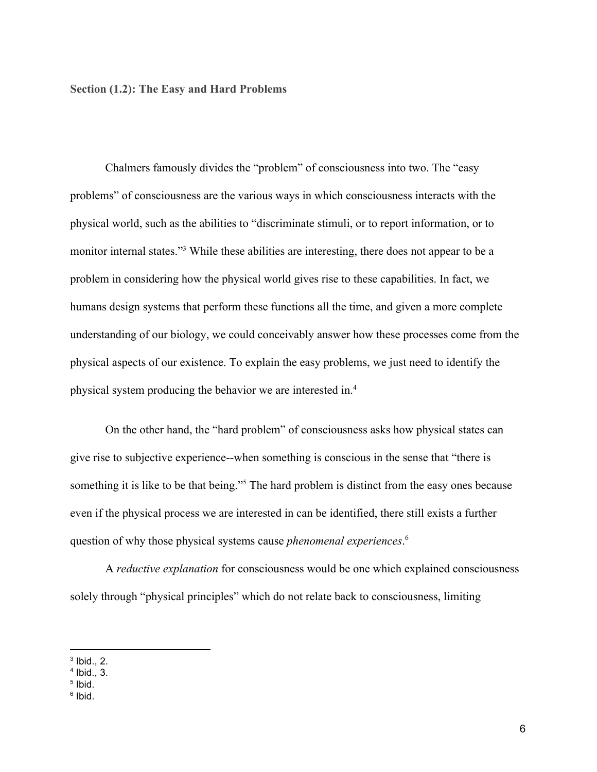<span id="page-7-0"></span>**Section (1.2): The Easy and Hard Problems**

Chalmers famously divides the "problem" of consciousness into two. The "easy problems" of consciousness are the various ways in which consciousness interacts with the physical world, such as the abilities to "discriminate stimuli, or to report information, or to monitor internal states."<sup>3</sup> While these abilities are interesting, there does not appear to be a problem in considering how the physical world gives rise to these capabilities. In fact, we humans design systems that perform these functions all the time, and given a more complete understanding of our biology, we could conceivably answer how these processes come from the physical aspects of our existence. To explain the easy problems, we just need to identify the physical system producing the behavior we are interested in.<sup>4</sup>

On the other hand, the "hard problem" of consciousness asks how physical states can give rise to subjective experience--when something is conscious in the sense that "there is something it is like to be that being."<sup>5</sup> The hard problem is distinct from the easy ones because even if the physical process we are interested in can be identified, there still exists a further question of why those physical systems cause *phenomenal experiences*. 6

A *reductive explanation* for consciousness would be one which explained consciousness solely through "physical principles" which do not relate back to consciousness, limiting

 $3$  Ibid., 2.

<sup>4</sup> Ibid., 3.

<sup>5</sup> Ibid.

<sup>&</sup>lt;sup>6</sup> Ibid.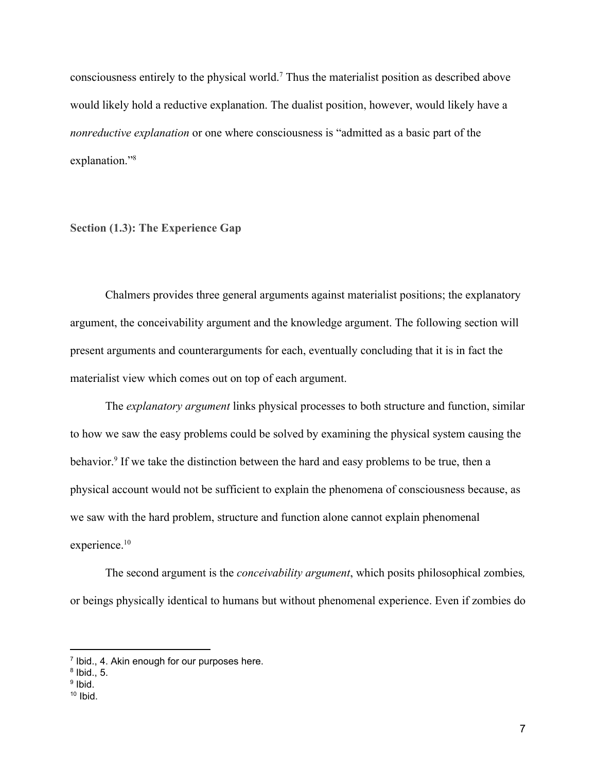consciousness entirely to the physical world.<sup>7</sup> Thus the materialist position as described above would likely hold a reductive explanation. The dualist position, however, would likely have a *nonreductive explanation* or one where consciousness is "admitted as a basic part of the explanation."<sup>8</sup>

<span id="page-8-0"></span>**Section (1.3): The Experience Gap**

Chalmers provides three general arguments against materialist positions; the explanatory argument, the conceivability argument and the knowledge argument. The following section will present arguments and counterarguments for each, eventually concluding that it is in fact the materialist view which comes out on top of each argument.

The *explanatory argument* links physical processes to both structure and function, similar to how we saw the easy problems could be solved by examining the physical system causing the behavior.<sup>9</sup> If we take the distinction between the hard and easy problems to be true, then a physical account would not be sufficient to explain the phenomena of consciousness because, as we saw with the hard problem, structure and function alone cannot explain phenomenal experience.<sup>10</sup>

The second argument is the *conceivability argument*, which posits philosophical zombies*,* or beings physically identical to humans but without phenomenal experience. Even if zombies do

<sup>&</sup>lt;sup>7</sup> Ibid., 4. Akin enough for our purposes here.

 $8$  Ibid., 5.

<sup>&</sup>lt;sup>9</sup> Ibid.

 $10$  Ibid.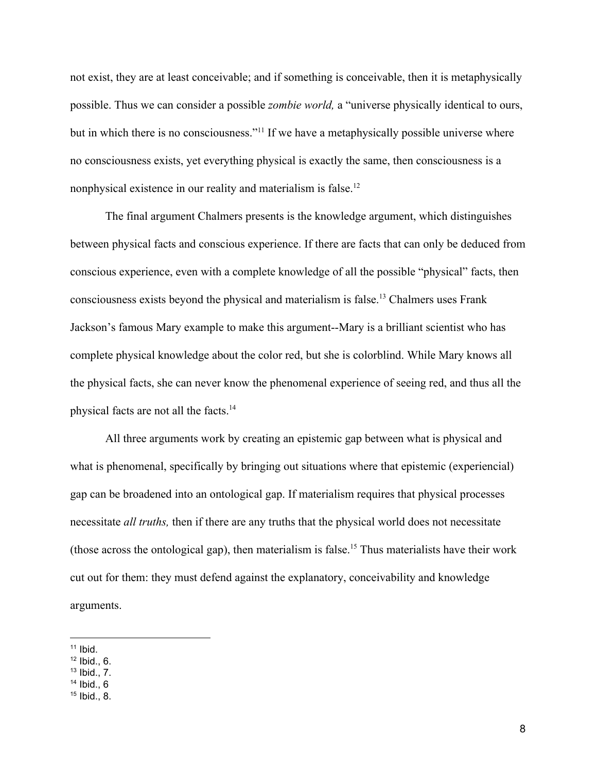not exist, they are at least conceivable; and if something is conceivable, then it is metaphysically possible. Thus we can consider a possible *zombie world,* a "universe physically identical to ours, but in which there is no consciousness."<sup>11</sup> If we have a metaphysically possible universe where no consciousness exists, yet everything physical is exactly the same, then consciousness is a nonphysical existence in our reality and materialism is false.<sup>12</sup>

The final argument Chalmers presents is the knowledge argument, which distinguishes between physical facts and conscious experience. If there are facts that can only be deduced from conscious experience, even with a complete knowledge of all the possible "physical" facts, then consciousness exists beyond the physical and materialism is false.<sup>13</sup> Chalmers uses Frank Jackson's famous Mary example to make this argument--Mary is a brilliant scientist who has complete physical knowledge about the color red, but she is colorblind. While Mary knows all the physical facts, she can never know the phenomenal experience of seeing red, and thus all the physical facts are not all the facts.<sup>14</sup>

All three arguments work by creating an epistemic gap between what is physical and what is phenomenal, specifically by bringing out situations where that epistemic (experiencial) gap can be broadened into an ontological gap. If materialism requires that physical processes necessitate *all truths,* then if there are any truths that the physical world does not necessitate (those across the ontological gap), then materialism is false.<sup>15</sup> Thus materialists have their work cut out for them: they must defend against the explanatory, conceivability and knowledge arguments.

 $11$  Ibid.

 $12$  Ibid., 6.

 $13$  Ibid., 7.

 $14$  Ibid., 6

<sup>15</sup> Ibid., 8.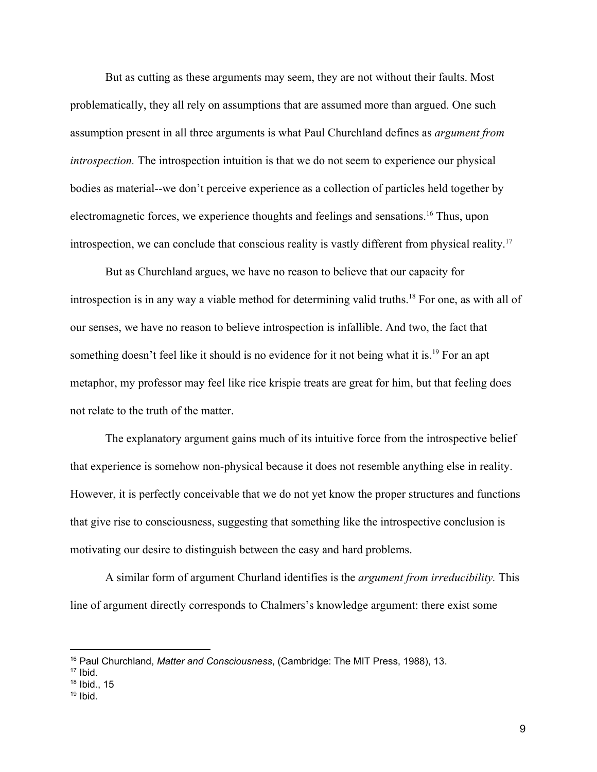But as cutting as these arguments may seem, they are not without their faults. Most problematically, they all rely on assumptions that are assumed more than argued. One such assumption present in all three arguments is what Paul Churchland defines as *argument from introspection.* The introspection intuition is that we do not seem to experience our physical bodies as material--we don't perceive experience as a collection of particles held together by electromagnetic forces, we experience thoughts and feelings and sensations. <sup>16</sup> Thus, upon introspection, we can conclude that conscious reality is vastly different from physical reality.<sup>17</sup>

But as Churchland argues, we have no reason to believe that our capacity for introspection is in any way a viable method for determining valid truths.<sup>18</sup> For one, as with all of our senses, we have no reason to believe introspection is infallible. And two, the fact that something doesn't feel like it should is no evidence for it not being what it is.<sup>19</sup> For an apt metaphor, my professor may feel like rice krispie treats are great for him, but that feeling does not relate to the truth of the matter.

The explanatory argument gains much of its intuitive force from the introspective belief that experience is somehow non-physical because it does not resemble anything else in reality. However, it is perfectly conceivable that we do not yet know the proper structures and functions that give rise to consciousness, suggesting that something like the introspective conclusion is motivating our desire to distinguish between the easy and hard problems.

A similar form of argument Churland identifies is the *argument from irreducibility.* This line of argument directly corresponds to Chalmers's knowledge argument: there exist some

- $18$  Ibid., 15
- $19$  Ibid.

<sup>16</sup> Paul Churchland, *Matter and Consciousness*, (Cambridge: The MIT Press, 1988), 13.

 $17$  Ibid.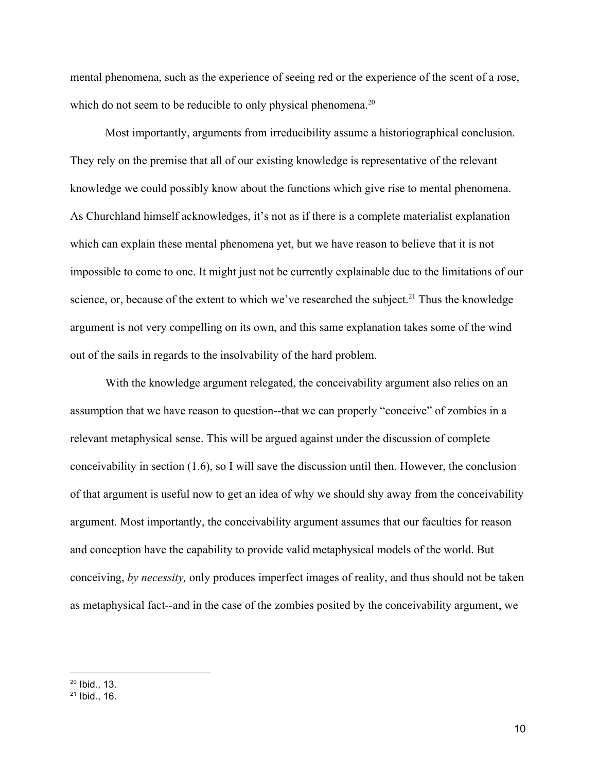mental phenomena, such as the experience of seeing red or the experience of the scent of a rose, which do not seem to be reducible to only physical phenomena.<sup>20</sup>

Most importantly, arguments from irreducibility assume a historiographical conclusion. They rely on the premise that all of our existing knowledge is representative of the relevant knowledge we could possibly know about the functions which give rise to mental phenomena. As Churchland himself acknowledges, it's not as if there is a complete materialist explanation which can explain these mental phenomena yet, but we have reason to believe that it is not impossible to come to one. It might just not be currently explainable due to the limitations of our science, or, because of the extent to which we've researched the subject.<sup>21</sup> Thus the knowledge argument is not very compelling on its own, and this same explanation takes some of the wind out of the sails in regards to the insolvability of the hard problem.

With the knowledge argument relegated, the conceivability argument also relies on an assumption that we have reason to question--that we can properly "conceive" of zombies in a relevant metaphysical sense. This will be argued against under the discussion of complete conceivability in section (1.6), so I will save the discussion until then. However, the conclusion of that argument is useful now to get an idea of why we should shy away from the conceivability argument. Most importantly, the conceivability argument assumes that our faculties for reason and conception have the capability to provide valid metaphysical models of the world. But conceiving, *by necessity,* only produces imperfect images of reality, and thus should not be taken as metaphysical fact--and in the case of the zombies posited by the conceivability argument, we

 $20$  Ibid., 13.

<sup>21</sup> Ibid., 16.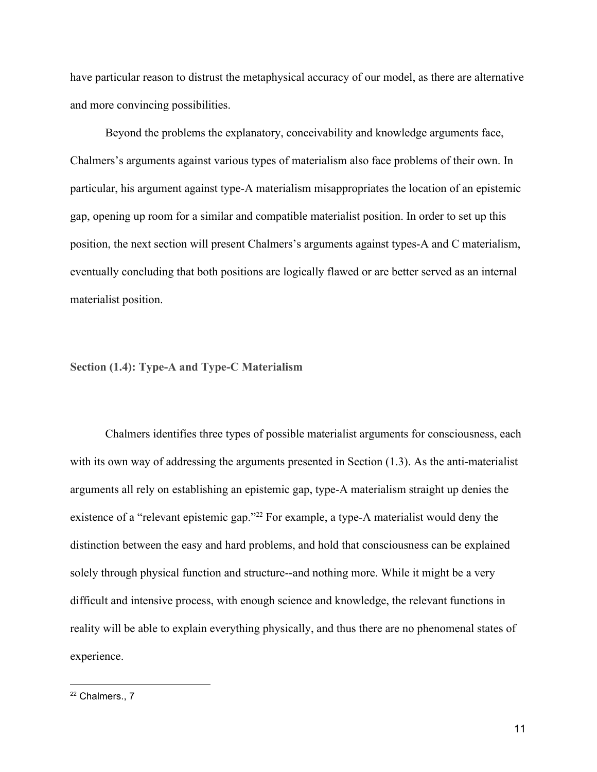have particular reason to distrust the metaphysical accuracy of our model, as there are alternative and more convincing possibilities.

Beyond the problems the explanatory, conceivability and knowledge arguments face, Chalmers's arguments against various types of materialism also face problems of their own. In particular, his argument against type-A materialism misappropriates the location of an epistemic gap, opening up room for a similar and compatible materialist position. In order to set up this position, the next section will present Chalmers's arguments against types-A and C materialism, eventually concluding that both positions are logically flawed or are better served as an internal materialist position.

<span id="page-12-0"></span>**Section (1.4): Type-A and Type-C Materialism**

Chalmers identifies three types of possible materialist arguments for consciousness, each with its own way of addressing the arguments presented in Section  $(1.3)$ . As the anti-materialist arguments all rely on establishing an epistemic gap, type-A materialism straight up denies the existence of a "relevant epistemic gap."<sup>22</sup> For example, a type-A materialist would deny the distinction between the easy and hard problems, and hold that consciousness can be explained solely through physical function and structure--and nothing more. While it might be a very difficult and intensive process, with enough science and knowledge, the relevant functions in reality will be able to explain everything physically, and thus there are no phenomenal states of experience.

<sup>&</sup>lt;sup>22</sup> Chalmers., 7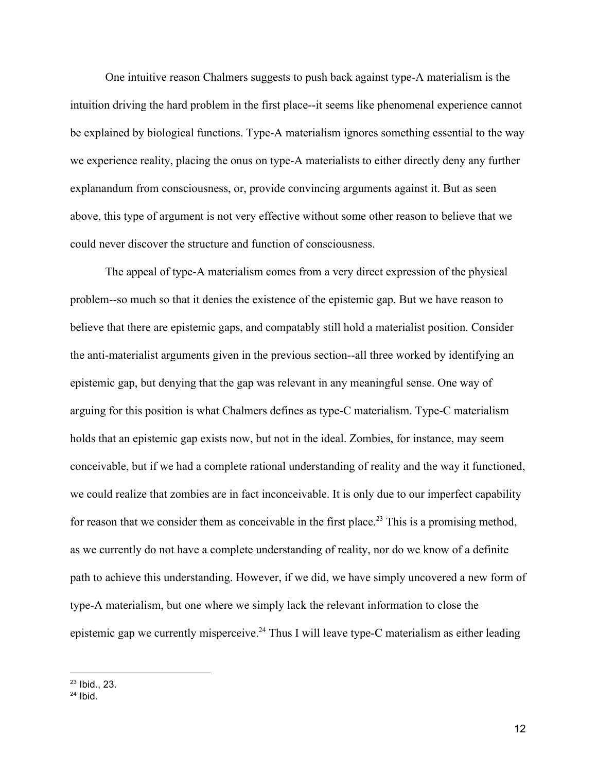One intuitive reason Chalmers suggests to push back against type-A materialism is the intuition driving the hard problem in the first place--it seems like phenomenal experience cannot be explained by biological functions. Type-A materialism ignores something essential to the way we experience reality, placing the onus on type-A materialists to either directly deny any further explanandum from consciousness, or, provide convincing arguments against it. But as seen above, this type of argument is not very effective without some other reason to believe that we could never discover the structure and function of consciousness.

The appeal of type-A materialism comes from a very direct expression of the physical problem--so much so that it denies the existence of the epistemic gap. But we have reason to believe that there are epistemic gaps, and compatably still hold a materialist position. Consider the anti-materialist arguments given in the previous section--all three worked by identifying an epistemic gap, but denying that the gap was relevant in any meaningful sense. One way of arguing for this position is what Chalmers defines as type-C materialism. Type-C materialism holds that an epistemic gap exists now, but not in the ideal. Zombies, for instance, may seem conceivable, but if we had a complete rational understanding of reality and the way it functioned, we could realize that zombies are in fact inconceivable. It is only due to our imperfect capability for reason that we consider them as conceivable in the first place.<sup>23</sup> This is a promising method, as we currently do not have a complete understanding of reality, nor do we know of a definite path to achieve this understanding. However, if we did, we have simply uncovered a new form of type-A materialism, but one where we simply lack the relevant information to close the epistemic gap we currently misperceive.<sup>24</sup> Thus I will leave type-C materialism as either leading

<sup>23</sup> Ibid., 23.

 $24$  Ibid.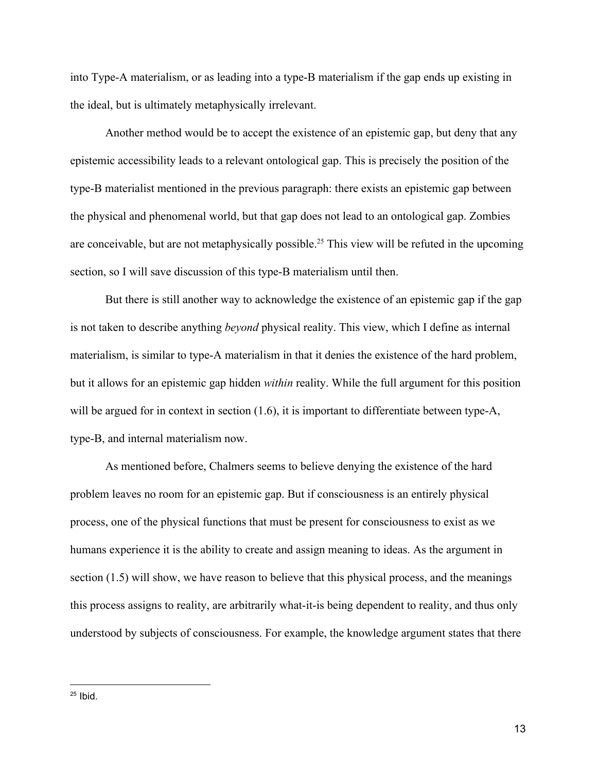into Type-A materialism, or as leading into a type-B materialism if the gap ends up existing in the ideal, but is ultimately metaphysically irrelevant.

Another method would be to accept the existence of an epistemic gap, but deny that any epistemic accessibility leads to a relevant ontological gap. This is precisely the position of the type-B materialist mentioned in the previous paragraph: there exists an epistemic gap between the physical and phenomenal world, but that gap does not lead to an ontological gap. Zombies are conceivable, but are not metaphysically possible.<sup>25</sup> This view will be refuted in the upcoming section, so I will save discussion of this type-B materialism until then.

But there is still another way to acknowledge the existence of an epistemic gap if the gap is not taken to describe anything *beyond* physical reality. This view, which I define as internal materialism, is similar to type-A materialism in that it denies the existence of the hard problem, but it allows for an epistemic gap hidden *within* reality. While the full argument for this position will be argued for in context in section (1.6), it is important to differentiate between type-A, type-B, and internal materialism now.

As mentioned before, Chalmers seems to believe denying the existence of the hard problem leaves no room for an epistemic gap. But if consciousness is an entirely physical process, one of the physical functions that must be present for consciousness to exist as we humans experience it is the ability to create and assign meaning to ideas. As the argument in section (1.5) will show, we have reason to believe that this physical process, and the meanings this process assigns to reality, are arbitrarily what-it-is being dependent to reality, and thus only understood by subjects of consciousness. For example, the knowledge argument states that there

 $25$  Ibid.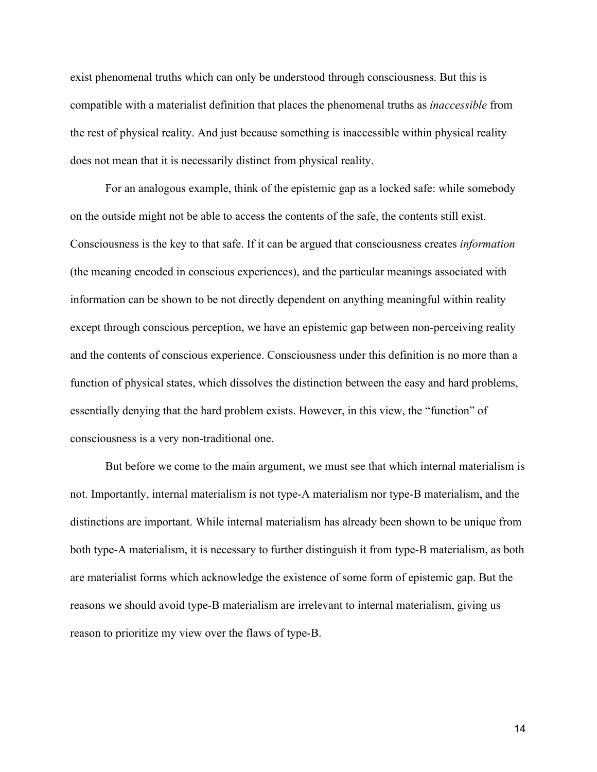exist phenomenal truths which can only be understood through consciousness. But this is compatible with a materialist definition that places the phenomenal truths as *inaccessible* from the rest of physical reality. And just because something is inaccessible within physical reality does not mean that it is necessarily distinct from physical reality.

For an analogous example, think of the epistemic gap as a locked safe: while somebody on the outside might not be able to access the contents of the safe, the contents still exist. Consciousness is the key to that safe. If it can be argued that consciousness creates *information* (the meaning encoded in conscious experiences), and the particular meanings associated with information can be shown to be not directly dependent on anything meaningful within reality except through conscious perception, we have an epistemic gap between non-perceiving reality and the contents of conscious experience. Consciousness under this definition is no more than a function of physical states, which dissolves the distinction between the easy and hard problems, essentially denying that the hard problem exists. However, in this view, the "function" of consciousness is a very non-traditional one.

But before we come to the main argument, we must see that which internal materialism is not. Importantly, internal materialism is not type-A materialism nor type-B materialism, and the distinctions are important. While internal materialism has already been shown to be unique from both type-A materialism, it is necessary to further distinguish it from type-B materialism, as both are materialist forms which acknowledge the existence of some form of epistemic gap. But the reasons we should avoid type-B materialism are irrelevant to internal materialism, giving us reason to prioritize my view over the flaws of type-B.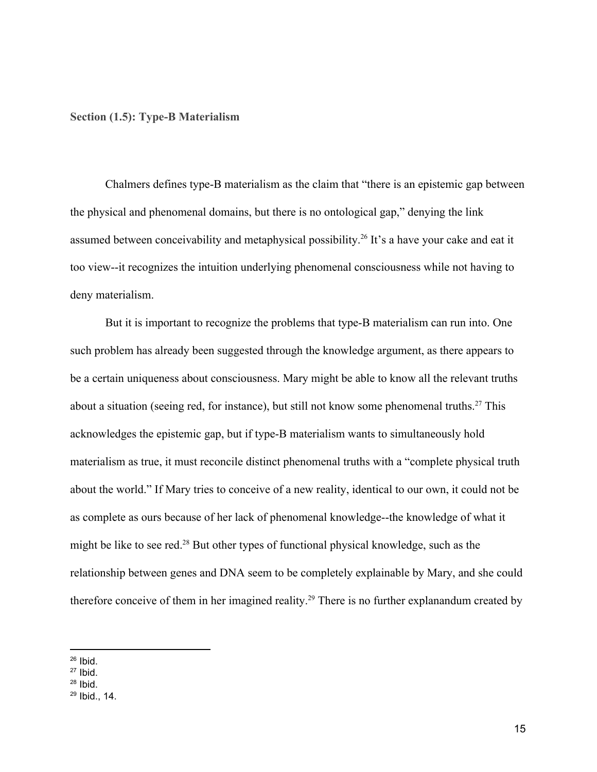<span id="page-16-0"></span>**Section (1.5): Type-B Materialism**

Chalmers defines type-B materialism as the claim that "there is an epistemic gap between the physical and phenomenal domains, but there is no ontological gap," denying the link assumed between conceivability and metaphysical possibility.<sup>26</sup> It's a have your cake and eat it too view--it recognizes the intuition underlying phenomenal consciousness while not having to deny materialism.

But it is important to recognize the problems that type-B materialism can run into. One such problem has already been suggested through the knowledge argument, as there appears to be a certain uniqueness about consciousness. Mary might be able to know all the relevant truths about a situation (seeing red, for instance), but still not know some phenomenal truths.<sup>27</sup> This acknowledges the epistemic gap, but if type-B materialism wants to simultaneously hold materialism as true, it must reconcile distinct phenomenal truths with a "complete physical truth about the world." If Mary tries to conceive of a new reality, identical to our own, it could not be as complete as ours because of her lack of phenomenal knowledge--the knowledge of what it might be like to see red.<sup>28</sup> But other types of functional physical knowledge, such as the relationship between genes and DNA seem to be completely explainable by Mary, and she could therefore conceive of them in her imagined reality.<sup>29</sup> There is no further explanandum created by

 $26$  Ibid.

 $27$  Ibid.

 $28$  Ibid.

<sup>29</sup> Ibid., 14.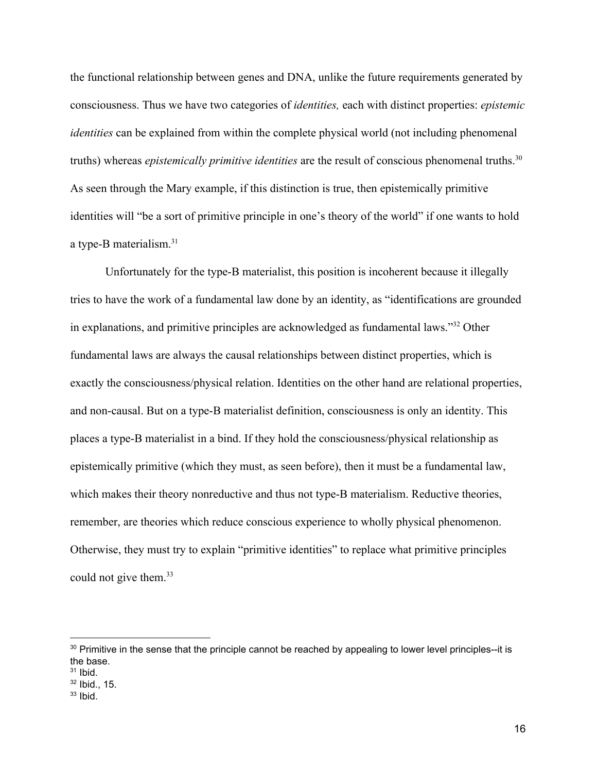the functional relationship between genes and DNA, unlike the future requirements generated by consciousness. Thus we have two categories of *identities,* each with distinct properties: *epistemic identities* can be explained from within the complete physical world (not including phenomenal truths) whereas *epistemically primitive identities* are the result of conscious phenomenal truths.<sup>30</sup> As seen through the Mary example, if this distinction is true, then epistemically primitive identities will "be a sort of primitive principle in one's theory of the world" if one wants to hold a type-B materialism.<sup>31</sup>

Unfortunately for the type-B materialist, this position is incoherent because it illegally tries to have the work of a fundamental law done by an identity, as "identifications are grounded in explanations, and primitive principles are acknowledged as fundamental laws."<sup>32</sup> Other fundamental laws are always the causal relationships between distinct properties, which is exactly the consciousness/physical relation. Identities on the other hand are relational properties, and non-causal. But on a type-B materialist definition, consciousness is only an identity. This places a type-B materialist in a bind. If they hold the consciousness/physical relationship as epistemically primitive (which they must, as seen before), then it must be a fundamental law, which makes their theory nonreductive and thus not type-B materialism. Reductive theories, remember, are theories which reduce conscious experience to wholly physical phenomenon. Otherwise, they must try to explain "primitive identities" to replace what primitive principles could not give them.<sup>33</sup>

<sup>&</sup>lt;sup>30</sup> Primitive in the sense that the principle cannot be reached by appealing to lower level principles--it is the base.

 $31$  Ibid.

 $32$  Ibid., 15.

 $33$  Ibid.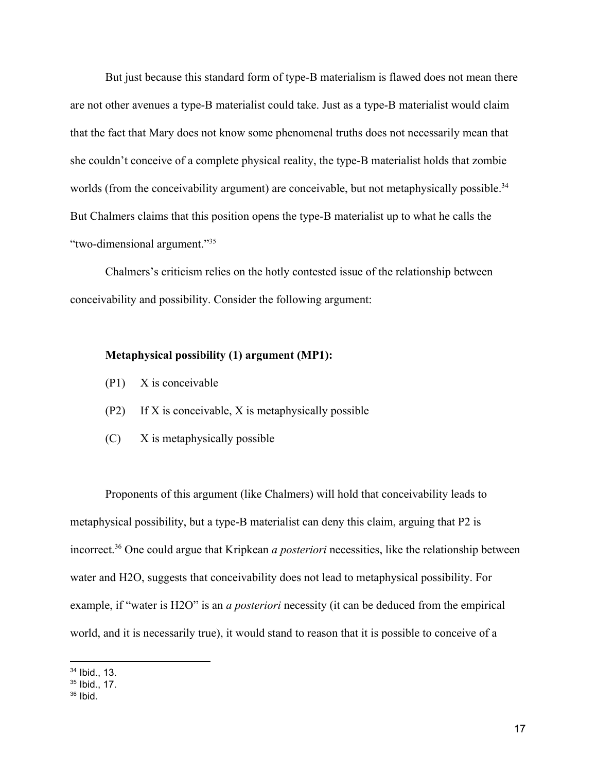But just because this standard form of type-B materialism is flawed does not mean there are not other avenues a type-B materialist could take. Just as a type-B materialist would claim that the fact that Mary does not know some phenomenal truths does not necessarily mean that she couldn't conceive of a complete physical reality, the type-B materialist holds that zombie worlds (from the conceivability argument) are conceivable, but not metaphysically possible.<sup>34</sup> But Chalmers claims that this position opens the type-B materialist up to what he calls the "two-dimensional argument."<sup>35</sup>

Chalmers's criticism relies on the hotly contested issue of the relationship between conceivability and possibility. Consider the following argument:

#### **Metaphysical possibility (1) argument (MP1):**

- (P1) X is conceivable
- (P2) If X is conceivable, X is metaphysically possible
- (C) X is metaphysically possible

Proponents of this argument (like Chalmers) will hold that conceivability leads to metaphysical possibility, but a type-B materialist can deny this claim, arguing that P2 is incorrect.<sup>36</sup> One could argue that Kripkean *a posteriori* necessities, like the relationship between water and H2O, suggests that conceivability does not lead to metaphysical possibility. For example, if "water is H2O" is an *a posteriori* necessity (it can be deduced from the empirical world, and it is necessarily true), it would stand to reason that it is possible to conceive of a

<sup>34</sup> Ibid., 13.

<sup>35</sup> Ibid., 17.

 $36$  Ibid.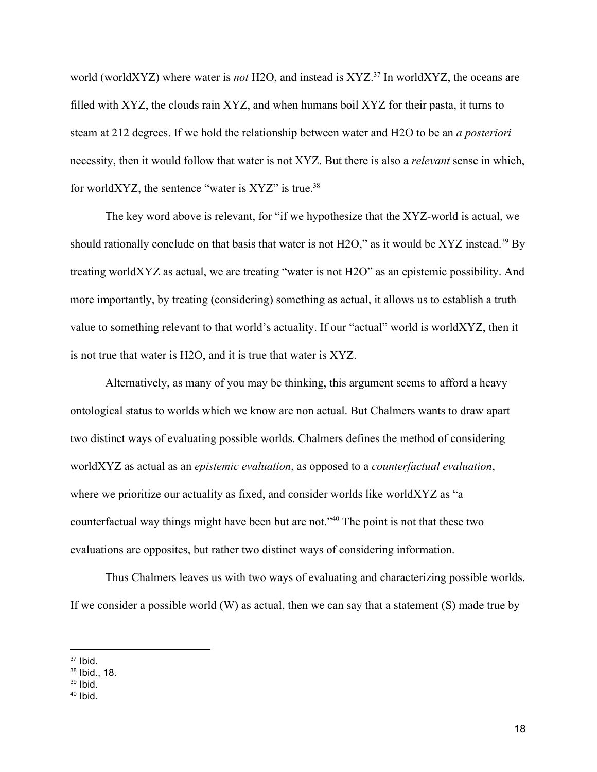world (worldXYZ) where water is *not* H2O, and instead is XYZ.<sup>37</sup> In worldXYZ, the oceans are filled with XYZ, the clouds rain XYZ, and when humans boil XYZ for their pasta, it turns to steam at 212 degrees. If we hold the relationship between water and H2O to be an *a posteriori* necessity, then it would follow that water is not XYZ. But there is also a *relevant* sense in which, for worldXYZ, the sentence "water is  $XYZ$ " is true.<sup>38</sup>

The key word above is relevant, for "if we hypothesize that the XYZ-world is actual, we should rationally conclude on that basis that water is not H2O," as it would be XYZ instead.<sup>39</sup> By treating worldXYZ as actual, we are treating "water is not H2O" as an epistemic possibility. And more importantly, by treating (considering) something as actual, it allows us to establish a truth value to something relevant to that world's actuality. If our "actual" world is worldXYZ, then it is not true that water is H2O, and it is true that water is XYZ.

Alternatively, as many of you may be thinking, this argument seems to afford a heavy ontological status to worlds which we know are non actual. But Chalmers wants to draw apart two distinct ways of evaluating possible worlds. Chalmers defines the method of considering worldXYZ as actual as an *epistemic evaluation*, as opposed to a *counterfactual evaluation*, where we prioritize our actuality as fixed, and consider worlds like worldXYZ as "a counterfactual way things might have been but are not."<sup>40</sup> The point is not that these two evaluations are opposites, but rather two distinct ways of considering information.

Thus Chalmers leaves us with two ways of evaluating and characterizing possible worlds. If we consider a possible world (W) as actual, then we can say that a statement (S) made true by

 $37$  Ibid.

 $38$  Ibid., 18.

<sup>39</sup> Ibid.

 $40$  Ibid.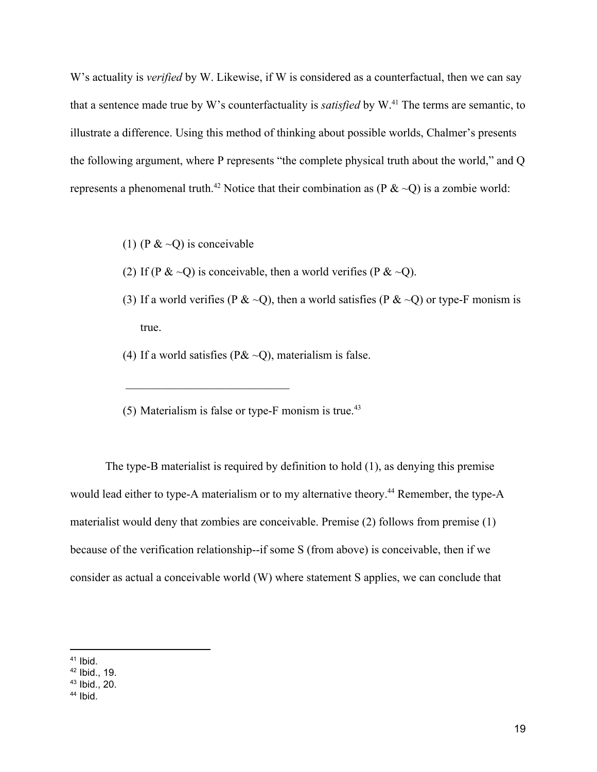W's actuality is *verified* by W. Likewise, if W is considered as a counterfactual, then we can say that a sentence made true by W's counterfactuality is *satisfied* by W.<sup>41</sup> The terms are semantic, to illustrate a difference. Using this method of thinking about possible worlds, Chalmer's presents the following argument, where P represents "the complete physical truth about the world," and Q represents a phenomenal truth.<sup>42</sup> Notice that their combination as (P  $\& \sim Q$ ) is a zombie world:

(1) (P  $< 0$ ) is conceivable

 $\mathcal{L}_\text{max} = \frac{1}{2} \sum_{i=1}^{n} \frac{1}{2} \sum_{i=1}^{n} \frac{1}{2} \sum_{i=1}^{n} \frac{1}{2} \sum_{i=1}^{n} \frac{1}{2} \sum_{i=1}^{n} \frac{1}{2} \sum_{i=1}^{n} \frac{1}{2} \sum_{i=1}^{n} \frac{1}{2} \sum_{i=1}^{n} \frac{1}{2} \sum_{i=1}^{n} \frac{1}{2} \sum_{i=1}^{n} \frac{1}{2} \sum_{i=1}^{n} \frac{1}{2} \sum_{i=1}^{n} \frac{1$ 

- (2) If (P &  $\sim$ Q) is conceivable, then a world verifies (P &  $\sim$ Q).
- (3) If a world verifies (P &  $\sim Q$ ), then a world satisfies (P &  $\sim Q$ ) or type-F monism is true.
- (4) If a world satisfies ( $P&Q$ ), materialism is false.
- (5) Materialism is false or type- $F$  monism is true.<sup>43</sup>

The type-B materialist is required by definition to hold (1), as denying this premise would lead either to type-A materialism or to my alternative theory.<sup>44</sup> Remember, the type-A materialist would deny that zombies are conceivable. Premise (2) follows from premise (1) because of the verification relationship--if some S (from above) is conceivable, then if we consider as actual a conceivable world (W) where statement S applies, we can conclude that

 $41$  Ibid.

<sup>42</sup> Ibid., 19.

<sup>43</sup> Ibid., 20.

 $44$  Ibid.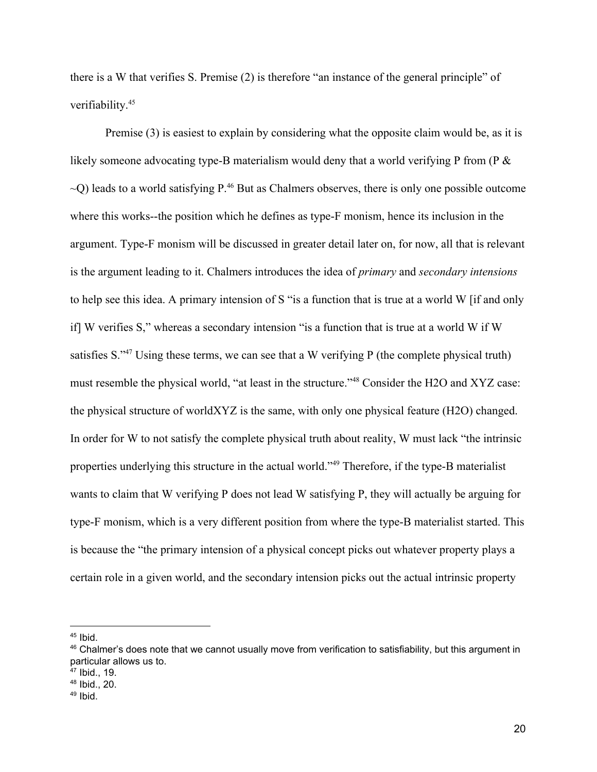there is a W that verifies S. Premise (2) is therefore "an instance of the general principle" of verifiability.<sup>45</sup>

Premise (3) is easiest to explain by considering what the opposite claim would be, as it is likely someone advocating type-B materialism would deny that a world verifying P from (P &  $\sim$ O) leads to a world satisfying P.<sup>46</sup> But as Chalmers observes, there is only one possible outcome where this works--the position which he defines as type-F monism, hence its inclusion in the argument. Type-F monism will be discussed in greater detail later on, for now, all that is relevant is the argument leading to it. Chalmers introduces the idea of *primary* and *secondary intensions* to help see this idea. A primary intension of S "is a function that is true at a world W [if and only if] W verifies S," whereas a secondary intension "is a function that is true at a world W if W satisfies  $S^{347}$  Using these terms, we can see that a W verifying P (the complete physical truth) must resemble the physical world, "at least in the structure."<sup>48</sup> Consider the H2O and XYZ case: the physical structure of worldXYZ is the same, with only one physical feature (H2O) changed. In order for W to not satisfy the complete physical truth about reality, W must lack "the intrinsic properties underlying this structure in the actual world."<sup>49</sup> Therefore, if the type-B materialist wants to claim that W verifying P does not lead W satisfying P, they will actually be arguing for type-F monism, which is a very different position from where the type-B materialist started. This is because the "the primary intension of a physical concept picks out whatever property plays a certain role in a given world, and the secondary intension picks out the actual intrinsic property

<sup>45</sup> Ibid.

<sup>&</sup>lt;sup>46</sup> Chalmer's does note that we cannot usually move from verification to satisfiability, but this argument in particular allows us to.

<sup>47</sup> Ibid., 19.

<sup>48</sup> Ibid., 20.

 $49$  Ibid.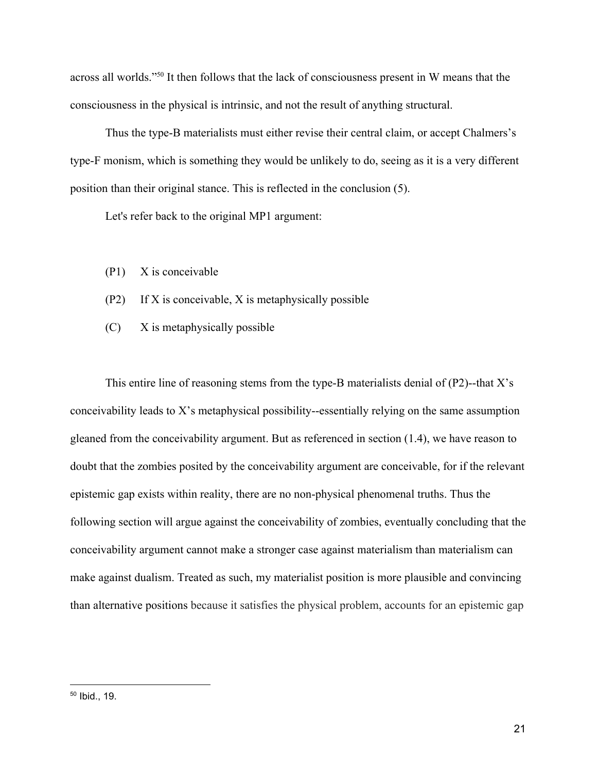across all worlds."<sup>50</sup> It then follows that the lack of consciousness present in W means that the consciousness in the physical is intrinsic, and not the result of anything structural.

Thus the type-B materialists must either revise their central claim, or accept Chalmers's type-F monism, which is something they would be unlikely to do, seeing as it is a very different position than their original stance. This is reflected in the conclusion (5).

Let's refer back to the original MP1 argument:

- (P1) X is conceivable
- (P2) If X is conceivable, X is metaphysically possible
- (C) X is metaphysically possible

This entire line of reasoning stems from the type-B materialists denial of  $(P2)$ --that X's conceivability leads to X's metaphysical possibility--essentially relying on the same assumption gleaned from the conceivability argument. But as referenced in section (1.4), we have reason to doubt that the zombies posited by the conceivability argument are conceivable, for if the relevant epistemic gap exists within reality, there are no non-physical phenomenal truths. Thus the following section will argue against the conceivability of zombies, eventually concluding that the conceivability argument cannot make a stronger case against materialism than materialism can make against dualism. Treated as such, my materialist position is more plausible and convincing than alternative positions because it satisfies the physical problem, accounts for an epistemic gap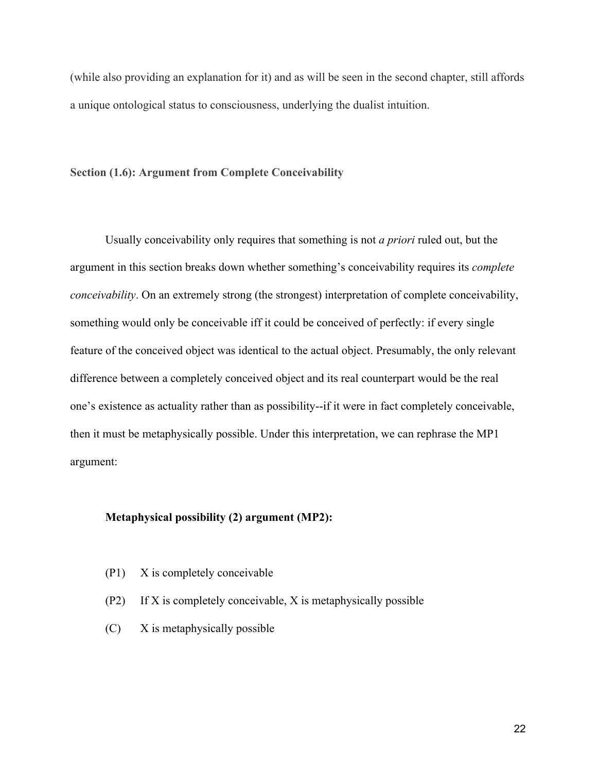(while also providing an explanation for it) and as will be seen in the second chapter, still affords a unique ontological status to consciousness, underlying the dualist intuition.

#### <span id="page-23-0"></span>**Section (1.6): Argument from Complete Conceivability**

Usually conceivability only requires that something is not *a priori* ruled out, but the argument in this section breaks down whether something's conceivability requires its *complete conceivability*. On an extremely strong (the strongest) interpretation of complete conceivability, something would only be conceivable iff it could be conceived of perfectly: if every single feature of the conceived object was identical to the actual object. Presumably, the only relevant difference between a completely conceived object and its real counterpart would be the real one's existence as actuality rather than as possibility--if it were in fact completely conceivable, then it must be metaphysically possible. Under this interpretation, we can rephrase the MP1 argument:

# **Metaphysical possibility (2) argument (MP2):**

- (P1) X is completely conceivable
- (P2) If X is completely conceivable, X is metaphysically possible
- (C) X is metaphysically possible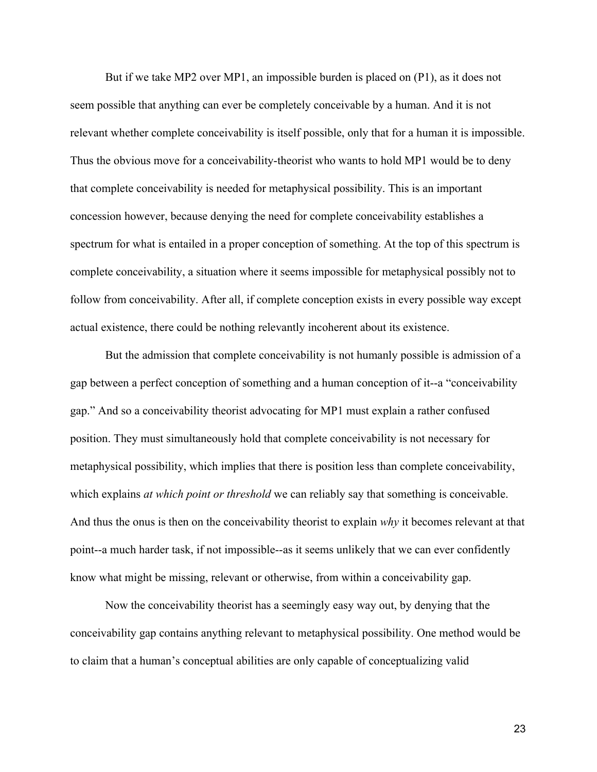But if we take MP2 over MP1, an impossible burden is placed on (P1), as it does not seem possible that anything can ever be completely conceivable by a human. And it is not relevant whether complete conceivability is itself possible, only that for a human it is impossible. Thus the obvious move for a conceivability-theorist who wants to hold MP1 would be to deny that complete conceivability is needed for metaphysical possibility. This is an important concession however, because denying the need for complete conceivability establishes a spectrum for what is entailed in a proper conception of something. At the top of this spectrum is complete conceivability, a situation where it seems impossible for metaphysical possibly not to follow from conceivability. After all, if complete conception exists in every possible way except actual existence, there could be nothing relevantly incoherent about its existence.

But the admission that complete conceivability is not humanly possible is admission of a gap between a perfect conception of something and a human conception of it--a "conceivability gap." And so a conceivability theorist advocating for MP1 must explain a rather confused position. They must simultaneously hold that complete conceivability is not necessary for metaphysical possibility, which implies that there is position less than complete conceivability, which explains *at which point or threshold* we can reliably say that something is conceivable. And thus the onus is then on the conceivability theorist to explain *why* it becomes relevant at that point--a much harder task, if not impossible--as it seems unlikely that we can ever confidently know what might be missing, relevant or otherwise, from within a conceivability gap.

Now the conceivability theorist has a seemingly easy way out, by denying that the conceivability gap contains anything relevant to metaphysical possibility. One method would be to claim that a human's conceptual abilities are only capable of conceptualizing valid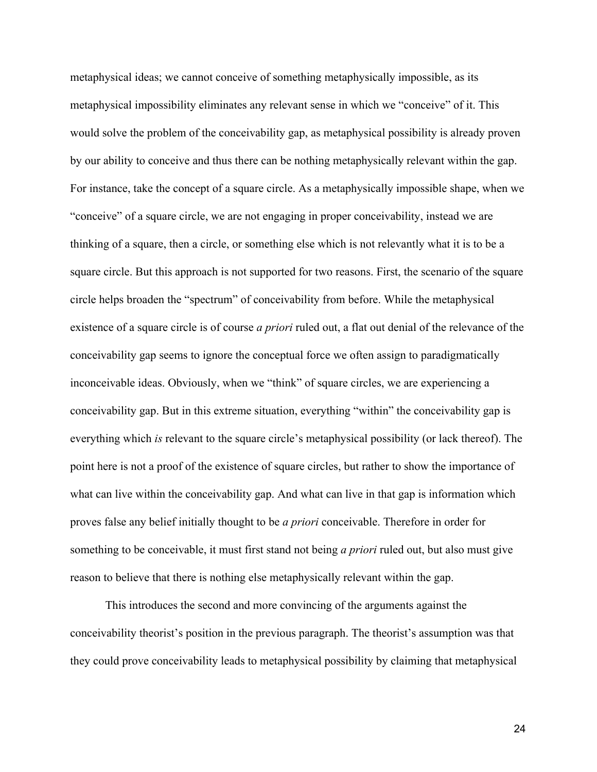metaphysical ideas; we cannot conceive of something metaphysically impossible, as its metaphysical impossibility eliminates any relevant sense in which we "conceive" of it. This would solve the problem of the conceivability gap, as metaphysical possibility is already proven by our ability to conceive and thus there can be nothing metaphysically relevant within the gap. For instance, take the concept of a square circle. As a metaphysically impossible shape, when we "conceive" of a square circle, we are not engaging in proper conceivability, instead we are thinking of a square, then a circle, or something else which is not relevantly what it is to be a square circle. But this approach is not supported for two reasons. First, the scenario of the square circle helps broaden the "spectrum" of conceivability from before. While the metaphysical existence of a square circle is of course *a priori* ruled out, a flat out denial of the relevance of the conceivability gap seems to ignore the conceptual force we often assign to paradigmatically inconceivable ideas. Obviously, when we "think" of square circles, we are experiencing a conceivability gap. But in this extreme situation, everything "within" the conceivability gap is everything which *is* relevant to the square circle's metaphysical possibility (or lack thereof). The point here is not a proof of the existence of square circles, but rather to show the importance of what can live within the conceivability gap. And what can live in that gap is information which proves false any belief initially thought to be *a priori* conceivable. Therefore in order for something to be conceivable, it must first stand not being *a priori* ruled out, but also must give reason to believe that there is nothing else metaphysically relevant within the gap.

This introduces the second and more convincing of the arguments against the conceivability theorist's position in the previous paragraph. The theorist's assumption was that they could prove conceivability leads to metaphysical possibility by claiming that metaphysical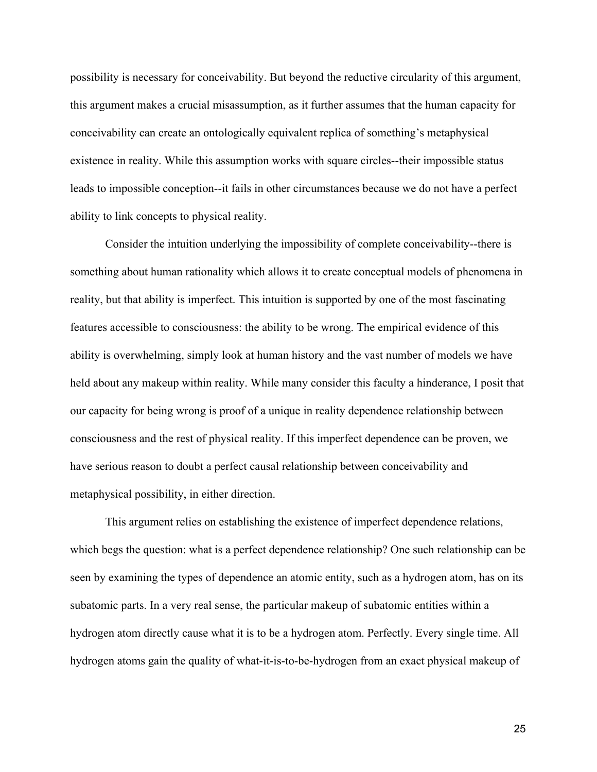possibility is necessary for conceivability. But beyond the reductive circularity of this argument, this argument makes a crucial misassumption, as it further assumes that the human capacity for conceivability can create an ontologically equivalent replica of something's metaphysical existence in reality. While this assumption works with square circles--their impossible status leads to impossible conception--it fails in other circumstances because we do not have a perfect ability to link concepts to physical reality.

Consider the intuition underlying the impossibility of complete conceivability--there is something about human rationality which allows it to create conceptual models of phenomena in reality, but that ability is imperfect. This intuition is supported by one of the most fascinating features accessible to consciousness: the ability to be wrong. The empirical evidence of this ability is overwhelming, simply look at human history and the vast number of models we have held about any makeup within reality. While many consider this faculty a hinderance, I posit that our capacity for being wrong is proof of a unique in reality dependence relationship between consciousness and the rest of physical reality. If this imperfect dependence can be proven, we have serious reason to doubt a perfect causal relationship between conceivability and metaphysical possibility, in either direction.

This argument relies on establishing the existence of imperfect dependence relations, which begs the question: what is a perfect dependence relationship? One such relationship can be seen by examining the types of dependence an atomic entity, such as a hydrogen atom, has on its subatomic parts. In a very real sense, the particular makeup of subatomic entities within a hydrogen atom directly cause what it is to be a hydrogen atom. Perfectly. Every single time. All hydrogen atoms gain the quality of what-it-is-to-be-hydrogen from an exact physical makeup of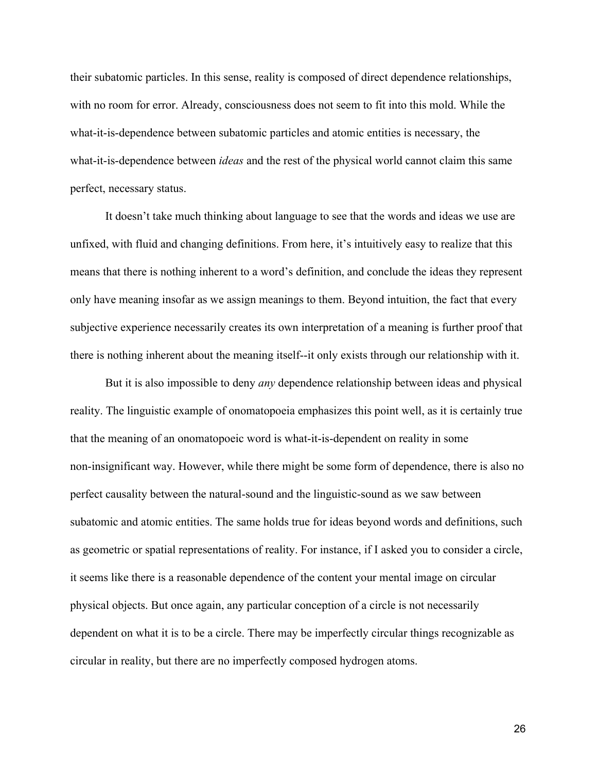their subatomic particles. In this sense, reality is composed of direct dependence relationships, with no room for error. Already, consciousness does not seem to fit into this mold. While the what-it-is-dependence between subatomic particles and atomic entities is necessary, the what-it-is-dependence between *ideas* and the rest of the physical world cannot claim this same perfect, necessary status.

It doesn't take much thinking about language to see that the words and ideas we use are unfixed, with fluid and changing definitions. From here, it's intuitively easy to realize that this means that there is nothing inherent to a word's definition, and conclude the ideas they represent only have meaning insofar as we assign meanings to them. Beyond intuition, the fact that every subjective experience necessarily creates its own interpretation of a meaning is further proof that there is nothing inherent about the meaning itself--it only exists through our relationship with it.

But it is also impossible to deny *any* dependence relationship between ideas and physical reality. The linguistic example of onomatopoeia emphasizes this point well, as it is certainly true that the meaning of an onomatopoeic word is what-it-is-dependent on reality in some non-insignificant way. However, while there might be some form of dependence, there is also no perfect causality between the natural-sound and the linguistic-sound as we saw between subatomic and atomic entities. The same holds true for ideas beyond words and definitions, such as geometric or spatial representations of reality. For instance, if I asked you to consider a circle, it seems like there is a reasonable dependence of the content your mental image on circular physical objects. But once again, any particular conception of a circle is not necessarily dependent on what it is to be a circle. There may be imperfectly circular things recognizable as circular in reality, but there are no imperfectly composed hydrogen atoms.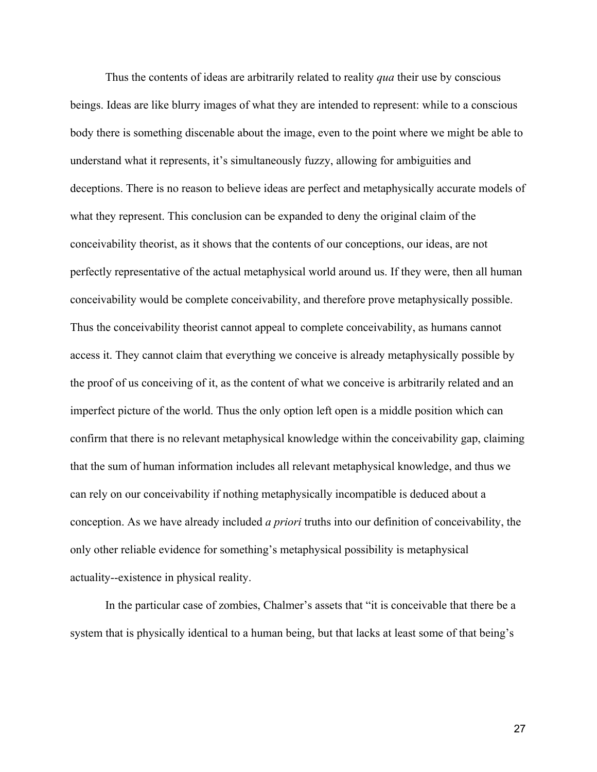Thus the contents of ideas are arbitrarily related to reality *qua* their use by conscious beings. Ideas are like blurry images of what they are intended to represent: while to a conscious body there is something discenable about the image, even to the point where we might be able to understand what it represents, it's simultaneously fuzzy, allowing for ambiguities and deceptions. There is no reason to believe ideas are perfect and metaphysically accurate models of what they represent. This conclusion can be expanded to deny the original claim of the conceivability theorist, as it shows that the contents of our conceptions, our ideas, are not perfectly representative of the actual metaphysical world around us. If they were, then all human conceivability would be complete conceivability, and therefore prove metaphysically possible. Thus the conceivability theorist cannot appeal to complete conceivability, as humans cannot access it. They cannot claim that everything we conceive is already metaphysically possible by the proof of us conceiving of it, as the content of what we conceive is arbitrarily related and an imperfect picture of the world. Thus the only option left open is a middle position which can confirm that there is no relevant metaphysical knowledge within the conceivability gap, claiming that the sum of human information includes all relevant metaphysical knowledge, and thus we can rely on our conceivability if nothing metaphysically incompatible is deduced about a conception. As we have already included *a priori* truths into our definition of conceivability, the only other reliable evidence for something's metaphysical possibility is metaphysical actuality--existence in physical reality.

In the particular case of zombies, Chalmer's assets that "it is conceivable that there be a system that is physically identical to a human being, but that lacks at least some of that being's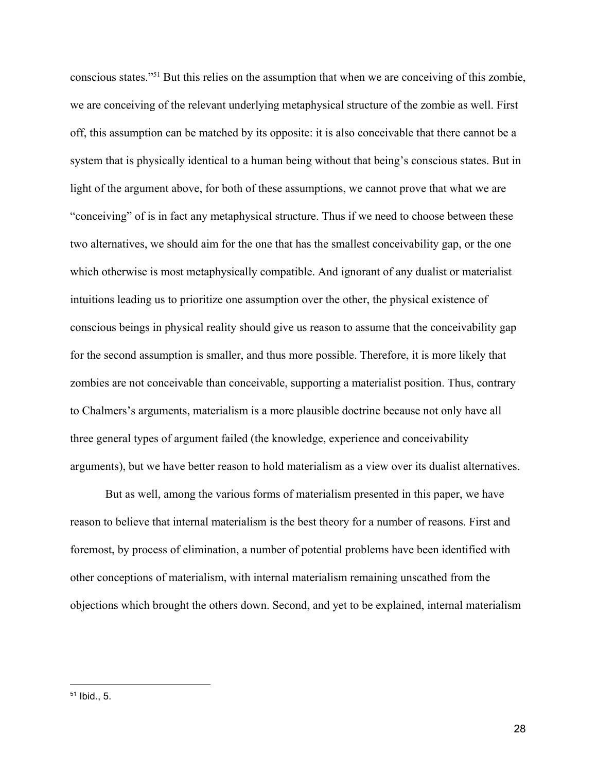conscious states."<sup>51</sup> But this relies on the assumption that when we are conceiving of this zombie, we are conceiving of the relevant underlying metaphysical structure of the zombie as well. First off, this assumption can be matched by its opposite: it is also conceivable that there cannot be a system that is physically identical to a human being without that being's conscious states. But in light of the argument above, for both of these assumptions, we cannot prove that what we are "conceiving" of is in fact any metaphysical structure. Thus if we need to choose between these two alternatives, we should aim for the one that has the smallest conceivability gap, or the one which otherwise is most metaphysically compatible. And ignorant of any dualist or materialist intuitions leading us to prioritize one assumption over the other, the physical existence of conscious beings in physical reality should give us reason to assume that the conceivability gap for the second assumption is smaller, and thus more possible. Therefore, it is more likely that zombies are not conceivable than conceivable, supporting a materialist position. Thus, contrary to Chalmers's arguments, materialism is a more plausible doctrine because not only have all three general types of argument failed (the knowledge, experience and conceivability arguments), but we have better reason to hold materialism as a view over its dualist alternatives.

But as well, among the various forms of materialism presented in this paper, we have reason to believe that internal materialism is the best theory for a number of reasons. First and foremost, by process of elimination, a number of potential problems have been identified with other conceptions of materialism, with internal materialism remaining unscathed from the objections which brought the others down. Second, and yet to be explained, internal materialism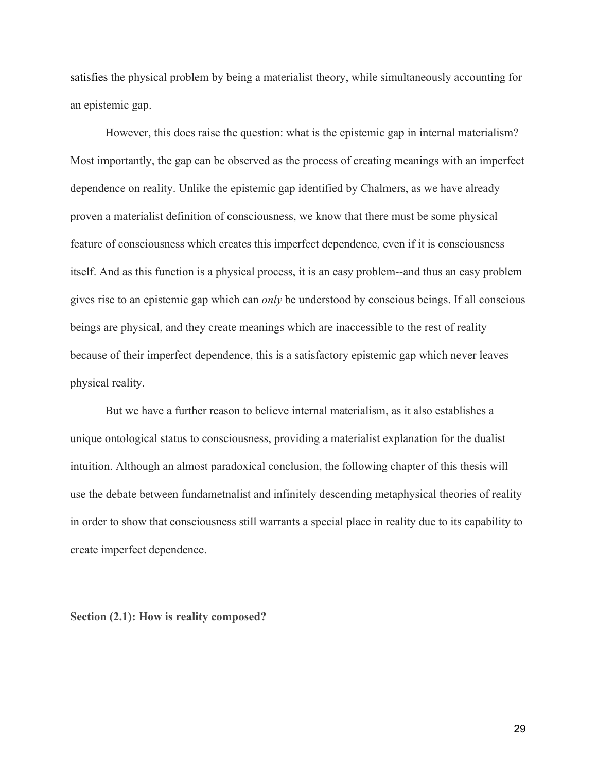satisfies the physical problem by being a materialist theory, while simultaneously accounting for an epistemic gap.

However, this does raise the question: what is the epistemic gap in internal materialism? Most importantly, the gap can be observed as the process of creating meanings with an imperfect dependence on reality. Unlike the epistemic gap identified by Chalmers, as we have already proven a materialist definition of consciousness, we know that there must be some physical feature of consciousness which creates this imperfect dependence, even if it is consciousness itself. And as this function is a physical process, it is an easy problem--and thus an easy problem gives rise to an epistemic gap which can *only* be understood by conscious beings. If all conscious beings are physical, and they create meanings which are inaccessible to the rest of reality because of their imperfect dependence, this is a satisfactory epistemic gap which never leaves physical reality.

But we have a further reason to believe internal materialism, as it also establishes a unique ontological status to consciousness, providing a materialist explanation for the dualist intuition. Although an almost paradoxical conclusion, the following chapter of this thesis will use the debate between fundametnalist and infinitely descending metaphysical theories of reality in order to show that consciousness still warrants a special place in reality due to its capability to create imperfect dependence.

<span id="page-30-0"></span>**Section (2.1): How is reality composed?**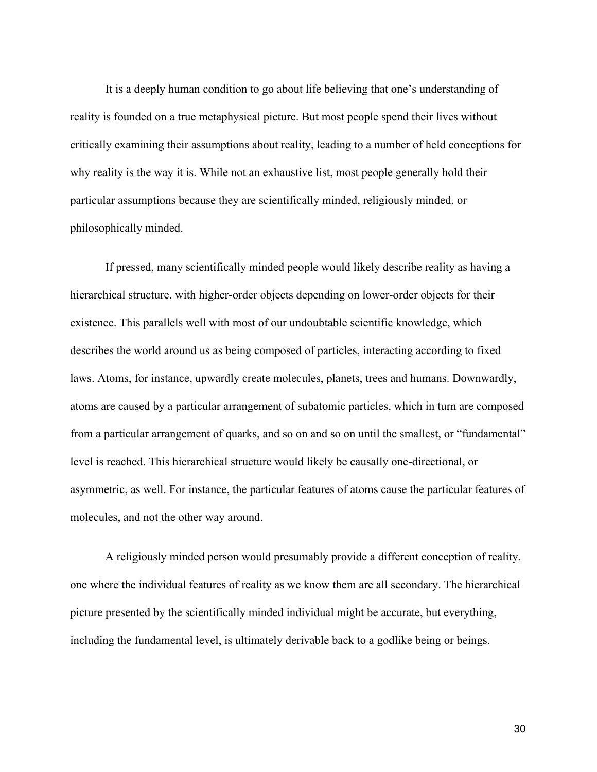It is a deeply human condition to go about life believing that one's understanding of reality is founded on a true metaphysical picture. But most people spend their lives without critically examining their assumptions about reality, leading to a number of held conceptions for why reality is the way it is. While not an exhaustive list, most people generally hold their particular assumptions because they are scientifically minded, religiously minded, or philosophically minded.

If pressed, many scientifically minded people would likely describe reality as having a hierarchical structure, with higher-order objects depending on lower-order objects for their existence. This parallels well with most of our undoubtable scientific knowledge, which describes the world around us as being composed of particles, interacting according to fixed laws. Atoms, for instance, upwardly create molecules, planets, trees and humans. Downwardly, atoms are caused by a particular arrangement of subatomic particles, which in turn are composed from a particular arrangement of quarks, and so on and so on until the smallest, or "fundamental" level is reached. This hierarchical structure would likely be causally one-directional, or asymmetric, as well. For instance, the particular features of atoms cause the particular features of molecules, and not the other way around.

A religiously minded person would presumably provide a different conception of reality, one where the individual features of reality as we know them are all secondary. The hierarchical picture presented by the scientifically minded individual might be accurate, but everything, including the fundamental level, is ultimately derivable back to a godlike being or beings.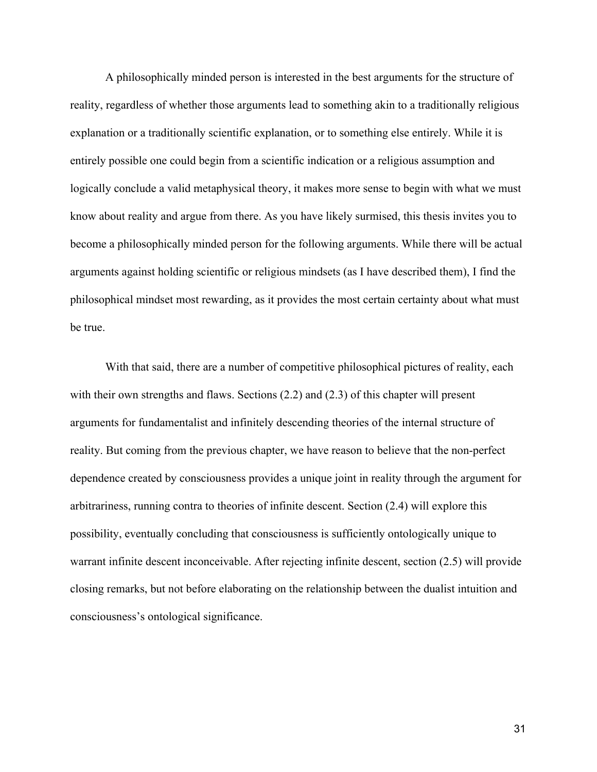A philosophically minded person is interested in the best arguments for the structure of reality, regardless of whether those arguments lead to something akin to a traditionally religious explanation or a traditionally scientific explanation, or to something else entirely. While it is entirely possible one could begin from a scientific indication or a religious assumption and logically conclude a valid metaphysical theory, it makes more sense to begin with what we must know about reality and argue from there. As you have likely surmised, this thesis invites you to become a philosophically minded person for the following arguments. While there will be actual arguments against holding scientific or religious mindsets (as I have described them), I find the philosophical mindset most rewarding, as it provides the most certain certainty about what must be true.

With that said, there are a number of competitive philosophical pictures of reality, each with their own strengths and flaws. Sections (2.2) and (2.3) of this chapter will present arguments for fundamentalist and infinitely descending theories of the internal structure of reality. But coming from the previous chapter, we have reason to believe that the non-perfect dependence created by consciousness provides a unique joint in reality through the argument for arbitrariness, running contra to theories of infinite descent. Section (2.4) will explore this possibility, eventually concluding that consciousness is sufficiently ontologically unique to warrant infinite descent inconceivable. After rejecting infinite descent, section (2.5) will provide closing remarks, but not before elaborating on the relationship between the dualist intuition and consciousness's ontological significance.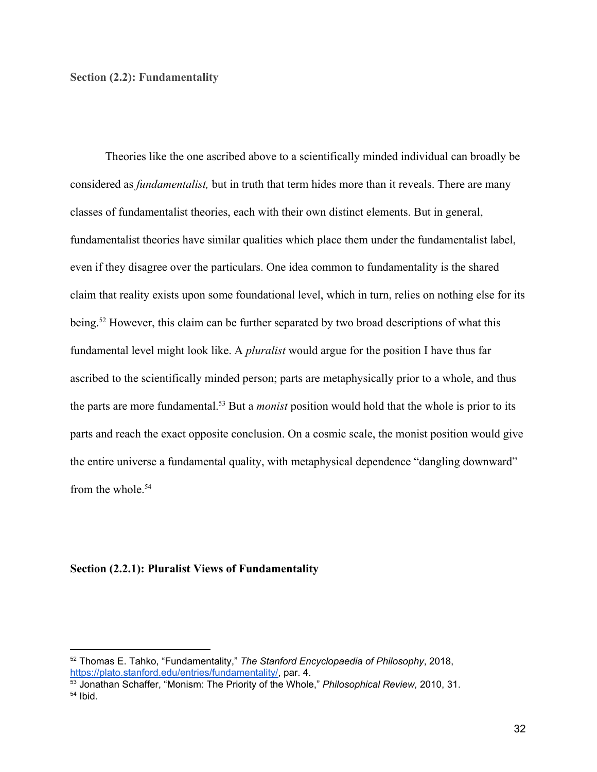# <span id="page-33-0"></span>**Section (2.2): Fundamentality**

Theories like the one ascribed above to a scientifically minded individual can broadly be considered as *fundamentalist,* but in truth that term hides more than it reveals. There are many classes of fundamentalist theories, each with their own distinct elements. But in general, fundamentalist theories have similar qualities which place them under the fundamentalist label, even if they disagree over the particulars. One idea common to fundamentality is the shared claim that reality exists upon some foundational level, which in turn, relies on nothing else for its being.<sup>52</sup> However, this claim can be further separated by two broad descriptions of what this fundamental level might look like. A *pluralist* would argue for the position I have thus far ascribed to the scientifically minded person; parts are metaphysically prior to a whole, and thus the parts are more fundamental.<sup>53</sup> But a *monist* position would hold that the whole is prior to its parts and reach the exact opposite conclusion. On a cosmic scale, the monist position would give the entire universe a fundamental quality, with metaphysical dependence "dangling downward" from the whole.<sup>54</sup>

# <span id="page-33-1"></span>**Section (2.2.1): Pluralist Views of Fundamentality**

<sup>52</sup> Thomas E. Tahko, "Fundamentality," *The Stanford Encyclopaedia of Philosophy*, 2018, [https://plato.stanford.edu/entries/fundamentality/,](https://plato.stanford.edu/entries/fundamentality/) par. 4.

<sup>53</sup> Jonathan Schaffer, "Monism: The Priority of the Whole," *Philosophical Review,* 2010, 31. <sup>54</sup> Ibid.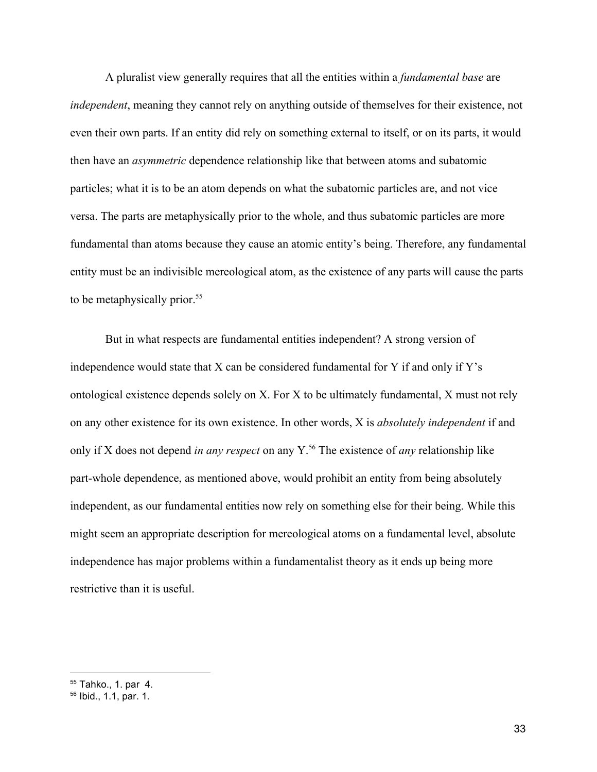A pluralist view generally requires that all the entities within a *fundamental base* are *independent*, meaning they cannot rely on anything outside of themselves for their existence, not even their own parts. If an entity did rely on something external to itself, or on its parts, it would then have an *asymmetric* dependence relationship like that between atoms and subatomic particles; what it is to be an atom depends on what the subatomic particles are, and not vice versa. The parts are metaphysically prior to the whole, and thus subatomic particles are more fundamental than atoms because they cause an atomic entity's being. Therefore, any fundamental entity must be an indivisible mereological atom, as the existence of any parts will cause the parts to be metaphysically prior.<sup>55</sup>

But in what respects are fundamental entities independent? A strong version of independence would state that X can be considered fundamental for Y if and only if Y's ontological existence depends solely on X. For X to be ultimately fundamental, X must not rely on any other existence for its own existence. In other words, X is *absolutely independent* if and only if X does not depend *in any respect* on any Y.<sup>56</sup> The existence of *any* relationship like part-whole dependence, as mentioned above, would prohibit an entity from being absolutely independent, as our fundamental entities now rely on something else for their being. While this might seem an appropriate description for mereological atoms on a fundamental level, absolute independence has major problems within a fundamentalist theory as it ends up being more restrictive than it is useful.

<sup>55</sup> Tahko., 1. par 4.

<sup>56</sup> Ibid., 1.1, par. 1.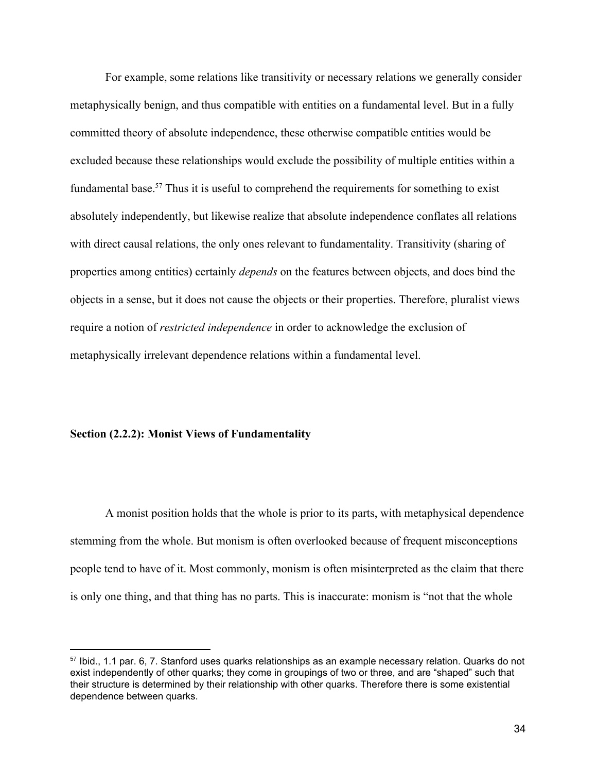For example, some relations like transitivity or necessary relations we generally consider metaphysically benign, and thus compatible with entities on a fundamental level. But in a fully committed theory of absolute independence, these otherwise compatible entities would be excluded because these relationships would exclude the possibility of multiple entities within a fundamental base.<sup>57</sup> Thus it is useful to comprehend the requirements for something to exist absolutely independently, but likewise realize that absolute independence conflates all relations with direct causal relations, the only ones relevant to fundamentality. Transitivity (sharing of properties among entities) certainly *depends* on the features between objects, and does bind the objects in a sense, but it does not cause the objects or their properties. Therefore, pluralist views require a notion of *restricted independence* in order to acknowledge the exclusion of metaphysically irrelevant dependence relations within a fundamental level.

# <span id="page-35-0"></span>**Section (2.2.2): Monist Views of Fundamentality**

A monist position holds that the whole is prior to its parts, with metaphysical dependence stemming from the whole. But monism is often overlooked because of frequent misconceptions people tend to have of it. Most commonly, monism is often misinterpreted as the claim that there is only one thing, and that thing has no parts. This is inaccurate: monism is "not that the whole

<sup>57</sup> Ibid., 1.1 par. 6, 7. Stanford uses quarks relationships as an example necessary relation. Quarks do not exist independently of other quarks; they come in groupings of two or three, and are "shaped" such that their structure is determined by their relationship with other quarks. Therefore there is some existential dependence between quarks.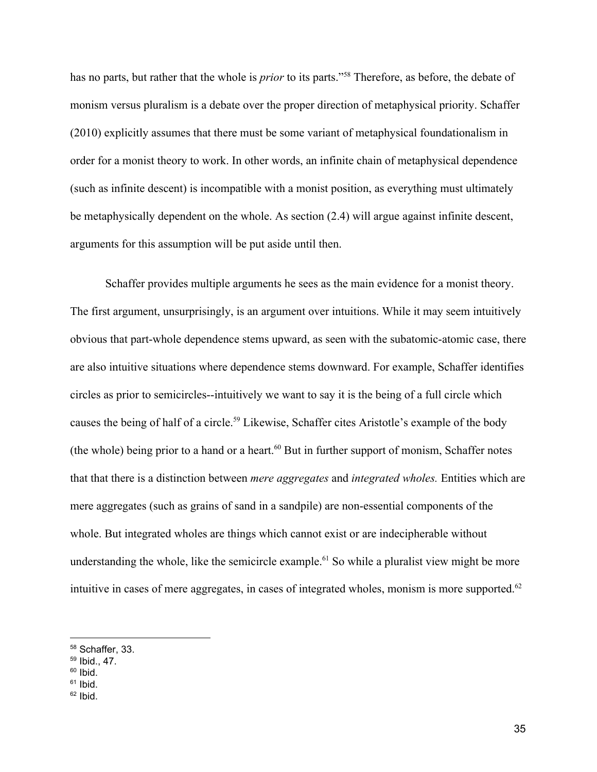has no parts, but rather that the whole is *prior* to its parts."<sup>58</sup> Therefore, as before, the debate of monism versus pluralism is a debate over the proper direction of metaphysical priority. Schaffer (2010) explicitly assumes that there must be some variant of metaphysical foundationalism in order for a monist theory to work. In other words, an infinite chain of metaphysical dependence (such as infinite descent) is incompatible with a monist position, as everything must ultimately be metaphysically dependent on the whole. As section (2.4) will argue against infinite descent, arguments for this assumption will be put aside until then.

Schaffer provides multiple arguments he sees as the main evidence for a monist theory. The first argument, unsurprisingly, is an argument over intuitions. While it may seem intuitively obvious that part-whole dependence stems upward, as seen with the subatomic-atomic case, there are also intuitive situations where dependence stems downward. For example, Schaffer identifies circles as prior to semicircles--intuitively we want to say it is the being of a full circle which causes the being of half of a circle.<sup>59</sup> Likewise, Schaffer cites Aristotle's example of the body (the whole) being prior to a hand or a heart. $60$  But in further support of monism, Schaffer notes that that there is a distinction between *mere aggregates* and *integrated wholes.* Entities which are mere aggregates (such as grains of sand in a sandpile) are non-essential components of the whole. But integrated wholes are things which cannot exist or are indecipherable without understanding the whole, like the semicircle example.<sup> $61$ </sup> So while a pluralist view might be more intuitive in cases of mere aggregates, in cases of integrated wholes, monism is more supported.<sup>62</sup>

<sup>58</sup> Schaffer, 33.

<sup>59</sup> Ibid., 47.

 $60$  Ibid.

 $61$  Ibid.

 $62$  Ibid.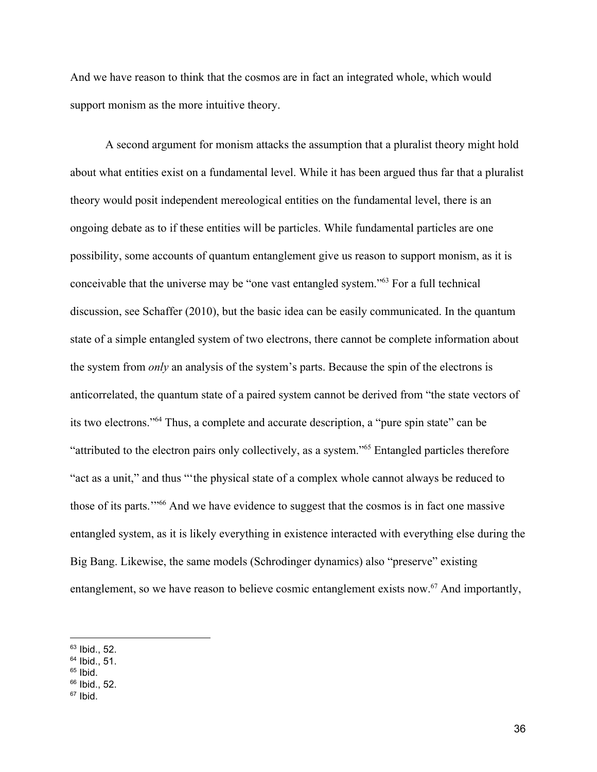And we have reason to think that the cosmos are in fact an integrated whole, which would support monism as the more intuitive theory.

A second argument for monism attacks the assumption that a pluralist theory might hold about what entities exist on a fundamental level. While it has been argued thus far that a pluralist theory would posit independent mereological entities on the fundamental level, there is an ongoing debate as to if these entities will be particles. While fundamental particles are one possibility, some accounts of quantum entanglement give us reason to support monism, as it is conceivable that the universe may be "one vast entangled system."<sup>63</sup> For a full technical discussion, see Schaffer (2010), but the basic idea can be easily communicated. In the quantum state of a simple entangled system of two electrons, there cannot be complete information about the system from *only* an analysis of the system's parts. Because the spin of the electrons is anticorrelated, the quantum state of a paired system cannot be derived from "the state vectors of its two electrons."<sup>64</sup> Thus, a complete and accurate description, a "pure spin state" can be "attributed to the electron pairs only collectively, as a system."<sup>65</sup> Entangled particles therefore "act as a unit," and thus "'the physical state of a complex whole cannot always be reduced to those of its parts."<sup>66</sup> And we have evidence to suggest that the cosmos is in fact one massive entangled system, as it is likely everything in existence interacted with everything else during the Big Bang. Likewise, the same models (Schrodinger dynamics) also "preserve" existing entanglement, so we have reason to believe cosmic entanglement exists now.<sup> $67$ </sup> And importantly,

- $64$  Ibid., 51.
- $65$  Ibid.
- $66$  Ibid., 52.

 $63$  Ibid., 52.

 $67$  Ibid.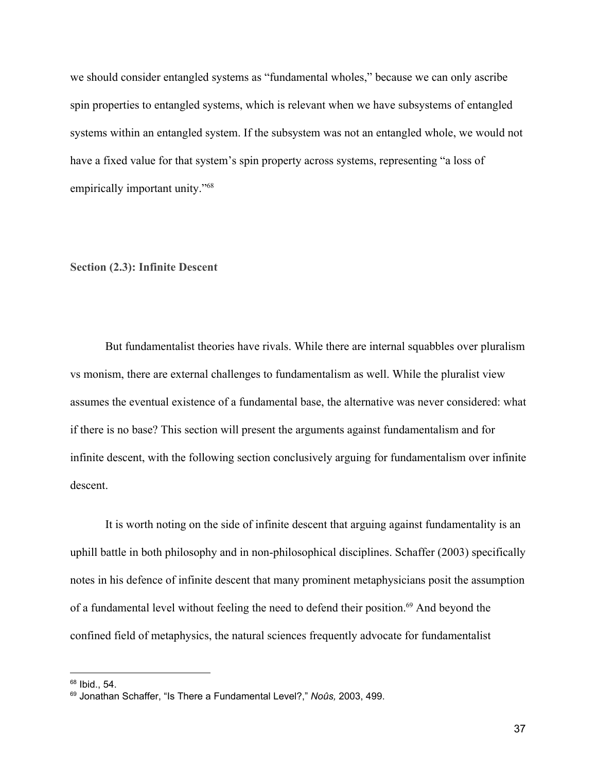we should consider entangled systems as "fundamental wholes," because we can only ascribe spin properties to entangled systems, which is relevant when we have subsystems of entangled systems within an entangled system. If the subsystem was not an entangled whole, we would not have a fixed value for that system's spin property across systems, representing "a loss of empirically important unity."<sup>68</sup>

# <span id="page-38-0"></span>**Section (2.3): Infinite Descent**

But fundamentalist theories have rivals. While there are internal squabbles over pluralism vs monism, there are external challenges to fundamentalism as well. While the pluralist view assumes the eventual existence of a fundamental base, the alternative was never considered: what if there is no base? This section will present the arguments against fundamentalism and for infinite descent, with the following section conclusively arguing for fundamentalism over infinite descent.

It is worth noting on the side of infinite descent that arguing against fundamentality is an uphill battle in both philosophy and in non-philosophical disciplines. Schaffer (2003) specifically notes in his defence of infinite descent that many prominent metaphysicians posit the assumption of a fundamental level without feeling the need to defend their position.<sup>69</sup> And beyond the confined field of metaphysics, the natural sciences frequently advocate for fundamentalist

 $68$  Ibid., 54.

<sup>69</sup> Jonathan Schaffer, "Is There a Fundamental Level?," *Noûs,* 2003, 499.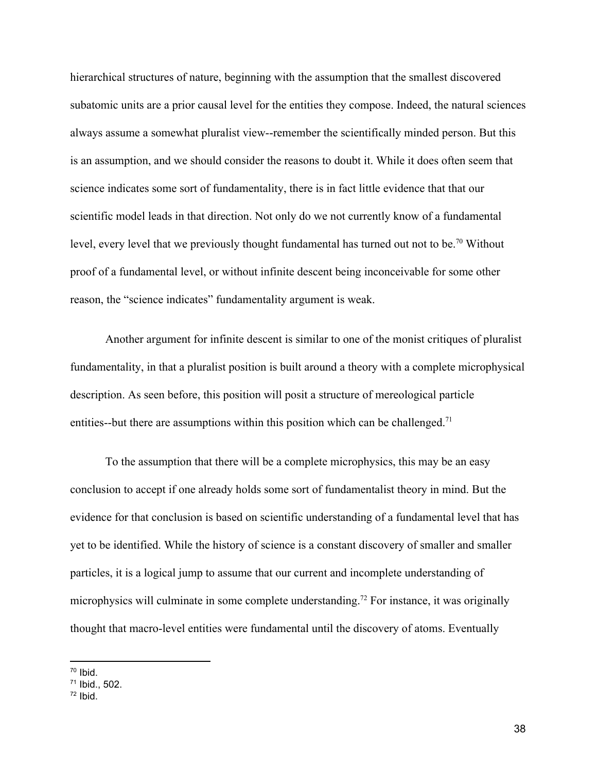hierarchical structures of nature, beginning with the assumption that the smallest discovered subatomic units are a prior causal level for the entities they compose. Indeed, the natural sciences always assume a somewhat pluralist view--remember the scientifically minded person. But this is an assumption, and we should consider the reasons to doubt it. While it does often seem that science indicates some sort of fundamentality, there is in fact little evidence that that our scientific model leads in that direction. Not only do we not currently know of a fundamental level, every level that we previously thought fundamental has turned out not to be.<sup>70</sup> Without proof of a fundamental level, or without infinite descent being inconceivable for some other reason, the "science indicates" fundamentality argument is weak.

Another argument for infinite descent is similar to one of the monist critiques of pluralist fundamentality, in that a pluralist position is built around a theory with a complete microphysical description. As seen before, this position will posit a structure of mereological particle entities--but there are assumptions within this position which can be challenged.<sup>71</sup>

To the assumption that there will be a complete microphysics, this may be an easy conclusion to accept if one already holds some sort of fundamentalist theory in mind. But the evidence for that conclusion is based on scientific understanding of a fundamental level that has yet to be identified. While the history of science is a constant discovery of smaller and smaller particles, it is a logical jump to assume that our current and incomplete understanding of microphysics will culminate in some complete understanding.<sup> $72$ </sup> For instance, it was originally thought that macro-level entities were fundamental until the discovery of atoms. Eventually

 $70$  Ibid.

<sup>71</sup> Ibid., 502.

 $72$  Ibid.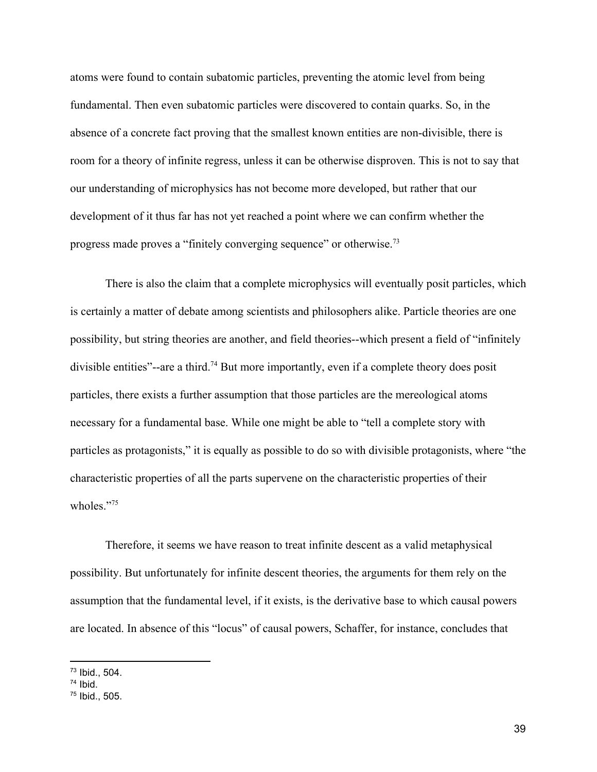atoms were found to contain subatomic particles, preventing the atomic level from being fundamental. Then even subatomic particles were discovered to contain quarks. So, in the absence of a concrete fact proving that the smallest known entities are non-divisible, there is room for a theory of infinite regress, unless it can be otherwise disproven. This is not to say that our understanding of microphysics has not become more developed, but rather that our development of it thus far has not yet reached a point where we can confirm whether the progress made proves a "finitely converging sequence" or otherwise.<sup>73</sup>

There is also the claim that a complete microphysics will eventually posit particles, which is certainly a matter of debate among scientists and philosophers alike. Particle theories are one possibility, but string theories are another, and field theories--which present a field of "infinitely divisible entities"--are a third.<sup>74</sup> But more importantly, even if a complete theory does posit particles, there exists a further assumption that those particles are the mereological atoms necessary for a fundamental base. While one might be able to "tell a complete story with particles as protagonists," it is equally as possible to do so with divisible protagonists, where "the characteristic properties of all the parts supervene on the characteristic properties of their wholes<sup>"75</sup>

Therefore, it seems we have reason to treat infinite descent as a valid metaphysical possibility. But unfortunately for infinite descent theories, the arguments for them rely on the assumption that the fundamental level, if it exists, is the derivative base to which causal powers are located. In absence of this "locus" of causal powers, Schaffer, for instance, concludes that

 $73$  Ibid., 504.

 $74$  Ibid.

<sup>75</sup> Ibid., 505.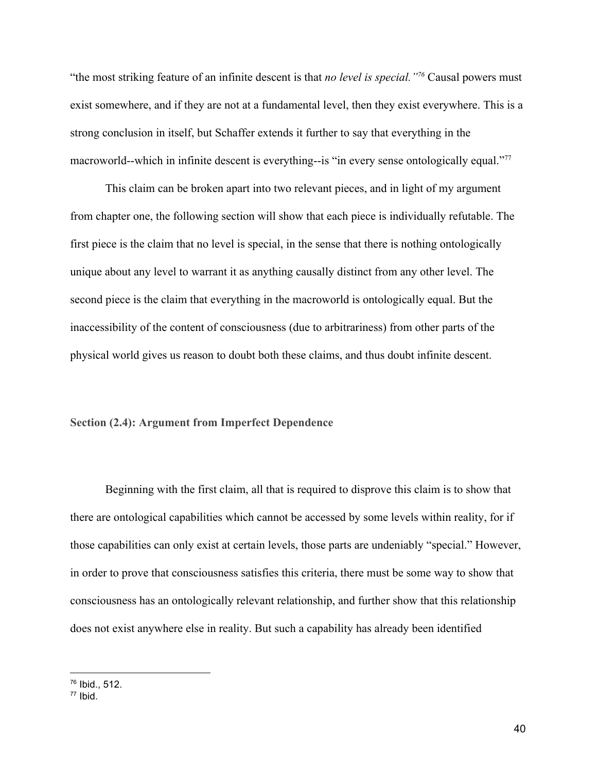"the most striking feature of an infinite descent is that *no level is special.*"<sup>76</sup> Causal powers must exist somewhere, and if they are not at a fundamental level, then they exist everywhere. This is a strong conclusion in itself, but Schaffer extends it further to say that everything in the macroworld--which in infinite descent is everything--is "in every sense ontologically equal."<sup>77</sup>

This claim can be broken apart into two relevant pieces, and in light of my argument from chapter one, the following section will show that each piece is individually refutable. The first piece is the claim that no level is special, in the sense that there is nothing ontologically unique about any level to warrant it as anything causally distinct from any other level. The second piece is the claim that everything in the macroworld is ontologically equal. But the inaccessibility of the content of consciousness (due to arbitrariness) from other parts of the physical world gives us reason to doubt both these claims, and thus doubt infinite descent.

### <span id="page-41-0"></span>**Section (2.4): Argument from Imperfect Dependence**

Beginning with the first claim, all that is required to disprove this claim is to show that there are ontological capabilities which cannot be accessed by some levels within reality, for if those capabilities can only exist at certain levels, those parts are undeniably "special." However, in order to prove that consciousness satisfies this criteria, there must be some way to show that consciousness has an ontologically relevant relationship, and further show that this relationship does not exist anywhere else in reality. But such a capability has already been identified

<sup>76</sup> Ibid., 512.

 $77$  Ibid.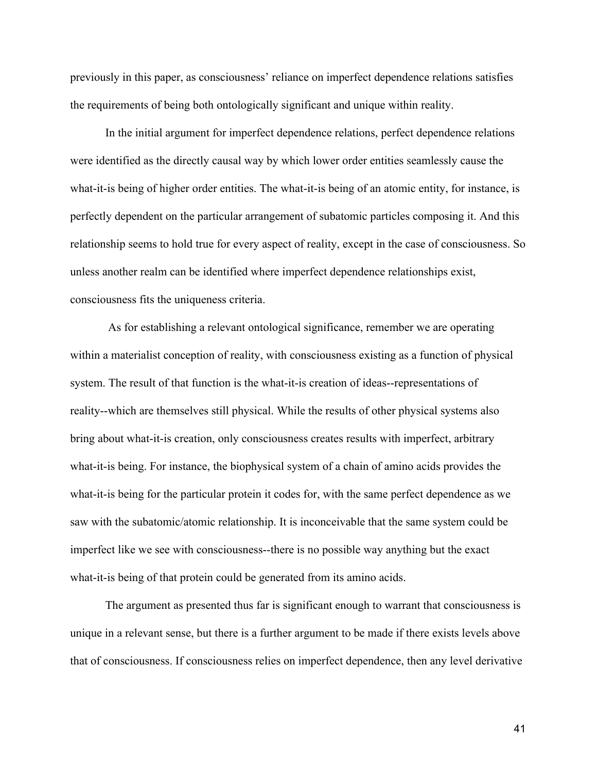previously in this paper, as consciousness' reliance on imperfect dependence relations satisfies the requirements of being both ontologically significant and unique within reality.

In the initial argument for imperfect dependence relations, perfect dependence relations were identified as the directly causal way by which lower order entities seamlessly cause the what-it-is being of higher order entities. The what-it-is being of an atomic entity, for instance, is perfectly dependent on the particular arrangement of subatomic particles composing it. And this relationship seems to hold true for every aspect of reality, except in the case of consciousness. So unless another realm can be identified where imperfect dependence relationships exist, consciousness fits the uniqueness criteria.

 As for establishing a relevant ontological significance, remember we are operating within a materialist conception of reality, with consciousness existing as a function of physical system. The result of that function is the what-it-is creation of ideas--representations of reality--which are themselves still physical. While the results of other physical systems also bring about what-it-is creation, only consciousness creates results with imperfect, arbitrary what-it-is being. For instance, the biophysical system of a chain of amino acids provides the what-it-is being for the particular protein it codes for, with the same perfect dependence as we saw with the subatomic/atomic relationship. It is inconceivable that the same system could be imperfect like we see with consciousness--there is no possible way anything but the exact what-it-is being of that protein could be generated from its amino acids.

The argument as presented thus far is significant enough to warrant that consciousness is unique in a relevant sense, but there is a further argument to be made if there exists levels above that of consciousness. If consciousness relies on imperfect dependence, then any level derivative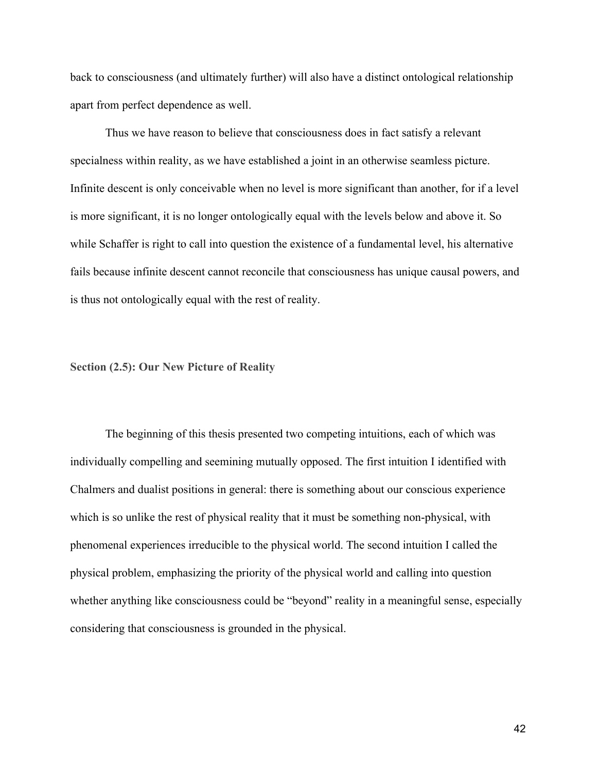back to consciousness (and ultimately further) will also have a distinct ontological relationship apart from perfect dependence as well.

Thus we have reason to believe that consciousness does in fact satisfy a relevant specialness within reality, as we have established a joint in an otherwise seamless picture. Infinite descent is only conceivable when no level is more significant than another, for if a level is more significant, it is no longer ontologically equal with the levels below and above it. So while Schaffer is right to call into question the existence of a fundamental level, his alternative fails because infinite descent cannot reconcile that consciousness has unique causal powers, and is thus not ontologically equal with the rest of reality.

# <span id="page-43-0"></span>**Section (2.5): Our New Picture of Reality**

The beginning of this thesis presented two competing intuitions, each of which was individually compelling and seemining mutually opposed. The first intuition I identified with Chalmers and dualist positions in general: there is something about our conscious experience which is so unlike the rest of physical reality that it must be something non-physical, with phenomenal experiences irreducible to the physical world. The second intuition I called the physical problem, emphasizing the priority of the physical world and calling into question whether anything like consciousness could be "beyond" reality in a meaningful sense, especially considering that consciousness is grounded in the physical.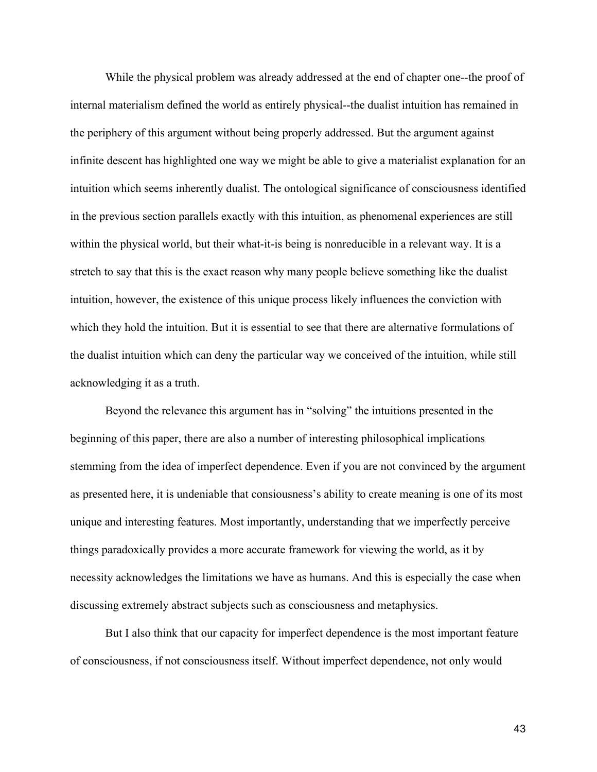While the physical problem was already addressed at the end of chapter one--the proof of internal materialism defined the world as entirely physical--the dualist intuition has remained in the periphery of this argument without being properly addressed. But the argument against infinite descent has highlighted one way we might be able to give a materialist explanation for an intuition which seems inherently dualist. The ontological significance of consciousness identified in the previous section parallels exactly with this intuition, as phenomenal experiences are still within the physical world, but their what-it-is being is nonreducible in a relevant way. It is a stretch to say that this is the exact reason why many people believe something like the dualist intuition, however, the existence of this unique process likely influences the conviction with which they hold the intuition. But it is essential to see that there are alternative formulations of the dualist intuition which can deny the particular way we conceived of the intuition, while still acknowledging it as a truth.

Beyond the relevance this argument has in "solving" the intuitions presented in the beginning of this paper, there are also a number of interesting philosophical implications stemming from the idea of imperfect dependence. Even if you are not convinced by the argument as presented here, it is undeniable that consiousness's ability to create meaning is one of its most unique and interesting features. Most importantly, understanding that we imperfectly perceive things paradoxically provides a more accurate framework for viewing the world, as it by necessity acknowledges the limitations we have as humans. And this is especially the case when discussing extremely abstract subjects such as consciousness and metaphysics.

But I also think that our capacity for imperfect dependence is the most important feature of consciousness, if not consciousness itself. Without imperfect dependence, not only would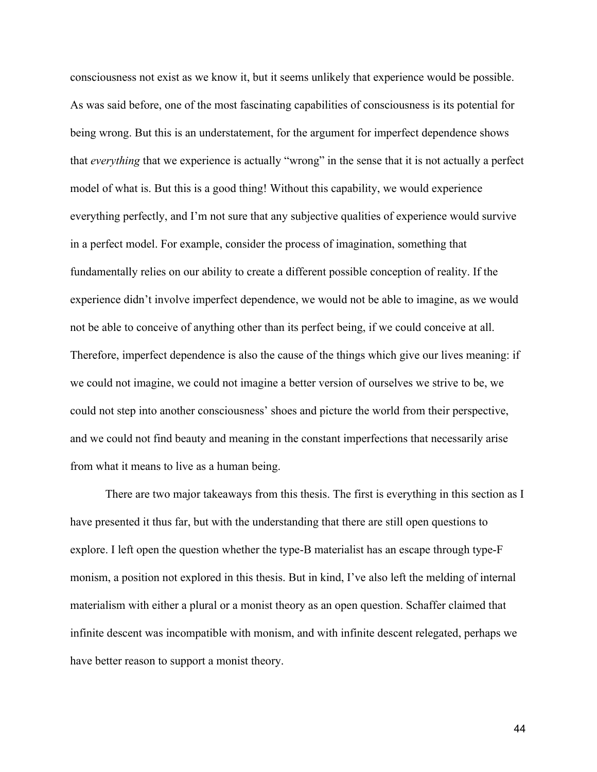consciousness not exist as we know it, but it seems unlikely that experience would be possible. As was said before, one of the most fascinating capabilities of consciousness is its potential for being wrong. But this is an understatement, for the argument for imperfect dependence shows that *everything* that we experience is actually "wrong" in the sense that it is not actually a perfect model of what is. But this is a good thing! Without this capability, we would experience everything perfectly, and I'm not sure that any subjective qualities of experience would survive in a perfect model. For example, consider the process of imagination, something that fundamentally relies on our ability to create a different possible conception of reality. If the experience didn't involve imperfect dependence, we would not be able to imagine, as we would not be able to conceive of anything other than its perfect being, if we could conceive at all. Therefore, imperfect dependence is also the cause of the things which give our lives meaning: if we could not imagine, we could not imagine a better version of ourselves we strive to be, we could not step into another consciousness' shoes and picture the world from their perspective, and we could not find beauty and meaning in the constant imperfections that necessarily arise from what it means to live as a human being.

There are two major takeaways from this thesis. The first is everything in this section as I have presented it thus far, but with the understanding that there are still open questions to explore. I left open the question whether the type-B materialist has an escape through type-F monism, a position not explored in this thesis. But in kind, I've also left the melding of internal materialism with either a plural or a monist theory as an open question. Schaffer claimed that infinite descent was incompatible with monism, and with infinite descent relegated, perhaps we have better reason to support a monist theory.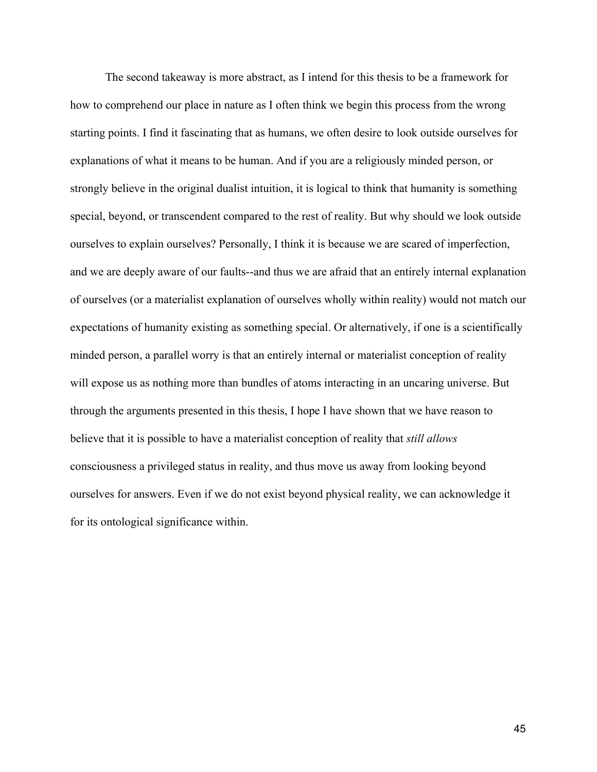The second takeaway is more abstract, as I intend for this thesis to be a framework for how to comprehend our place in nature as I often think we begin this process from the wrong starting points. I find it fascinating that as humans, we often desire to look outside ourselves for explanations of what it means to be human. And if you are a religiously minded person, or strongly believe in the original dualist intuition, it is logical to think that humanity is something special, beyond, or transcendent compared to the rest of reality. But why should we look outside ourselves to explain ourselves? Personally, I think it is because we are scared of imperfection, and we are deeply aware of our faults--and thus we are afraid that an entirely internal explanation of ourselves (or a materialist explanation of ourselves wholly within reality) would not match our expectations of humanity existing as something special. Or alternatively, if one is a scientifically minded person, a parallel worry is that an entirely internal or materialist conception of reality will expose us as nothing more than bundles of atoms interacting in an uncaring universe. But through the arguments presented in this thesis, I hope I have shown that we have reason to believe that it is possible to have a materialist conception of reality that *still allows* consciousness a privileged status in reality, and thus move us away from looking beyond ourselves for answers. Even if we do not exist beyond physical reality, we can acknowledge it for its ontological significance within.